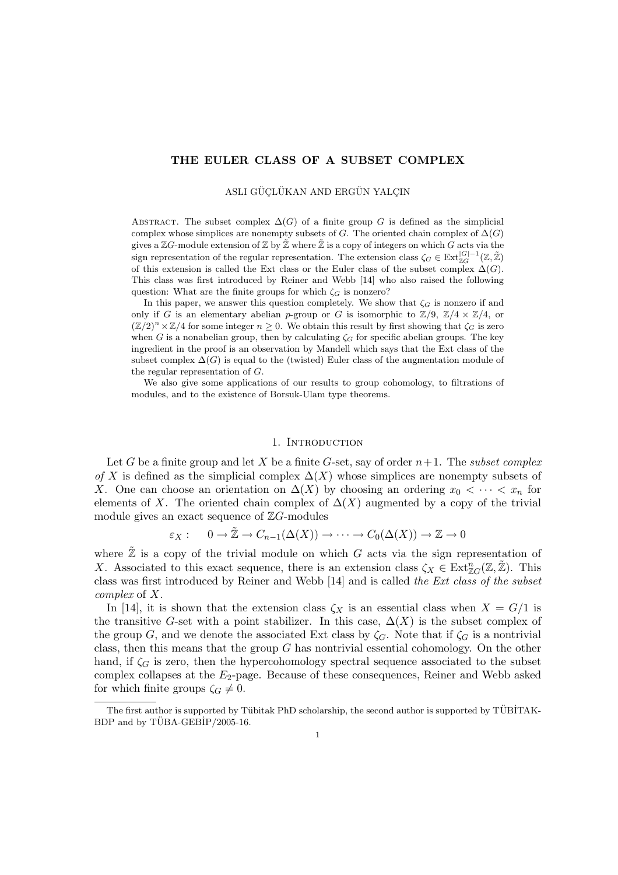# THE EULER CLASS OF A SUBSET COMPLEX

ASLI GÜÇLÜKAN AND ERGÜN YALÇIN

ABSTRACT. The subset complex  $\Delta(G)$  of a finite group G is defined as the simplicial complex whose simplices are nonempty subsets of G. The oriented chain complex of  $\Delta(G)$ gives a ZG-module extension of Z by  $\mathbb Z^2$  where  $\mathbb Z^2$  is a copy of integers on which G acts via the sign representation of the regular representation. The extension class  $\zeta_G \in \text{Ext}_{\mathbb{Z}G}^{|G|-1}(\mathbb{Z}, \tilde{\mathbb{Z}})$ of this extension is called the Ext class or the Euler class of the subset complex  $\Delta(G)$ . This class was first introduced by Reiner and Webb [14] who also raised the following question: What are the finite groups for which  $\zeta_G$  is nonzero?

In this paper, we answer this question completely. We show that  $\zeta_G$  is nonzero if and only if G is an elementary abelian p-group or G is isomorphic to  $\mathbb{Z}/9$ ,  $\mathbb{Z}/4 \times \mathbb{Z}/4$ , or  $(\mathbb{Z}/2)^n \times \mathbb{Z}/4$  for some integer  $n > 0$ . We obtain this result by first showing that  $\zeta_G$  is zero when G is a nonabelian group, then by calculating  $\zeta_G$  for specific abelian groups. The key ingredient in the proof is an observation by Mandell which says that the Ext class of the subset complex  $\Delta(G)$  is equal to the (twisted) Euler class of the augmentation module of the regular representation of G.

We also give some applications of our results to group cohomology, to filtrations of modules, and to the existence of Borsuk-Ulam type theorems.

#### 1. INTRODUCTION

Let G be a finite group and let X be a finite G-set, say of order  $n+1$ . The subset complex of X is defined as the simplicial complex  $\Delta(X)$  whose simplices are nonempty subsets of X. One can choose an orientation on  $\Delta(X)$  by choosing an ordering  $x_0 < \cdots < x_n$  for elements of X. The oriented chain complex of  $\Delta(X)$  augmented by a copy of the trivial module gives an exact sequence of  $\mathbb{Z}G$ -modules

$$
\varepsilon_X: \quad 0 \to \tilde{\mathbb{Z}} \to C_{n-1}(\Delta(X)) \to \cdots \to C_0(\Delta(X)) \to \mathbb{Z} \to 0
$$

where  $\mathbb Z$  is a copy of the trivial module on which  $G$  acts via the sign representation of X. Associated to this exact sequence, there is an extension class  $\zeta_X \in Ext_{\mathbb{Z}G}^n(\mathbb{Z}, \mathbb{Z})$ . This class was first introduced by Reiner and Webb [14] and is called the Ext class of the subset complex of X.

In [14], it is shown that the extension class  $\zeta_X$  is an essential class when  $X = G/1$  is the transitive G-set with a point stabilizer. In this case,  $\Delta(X)$  is the subset complex of the group G, and we denote the associated Ext class by  $\zeta_G$ . Note that if  $\zeta_G$  is a nontrivial class, then this means that the group  $G$  has nontrivial essential cohomology. On the other hand, if  $\zeta_G$  is zero, then the hypercohomology spectral sequence associated to the subset complex collapses at the  $E_2$ -page. Because of these consequences, Reiner and Webb asked for which finite groups  $\zeta_G \neq 0$ .

The first author is supported by Tübitak PhD scholarship, the second author is supported by TÜBİTAK-BDP and by  $TUBA-GEBIP/2005-16$ .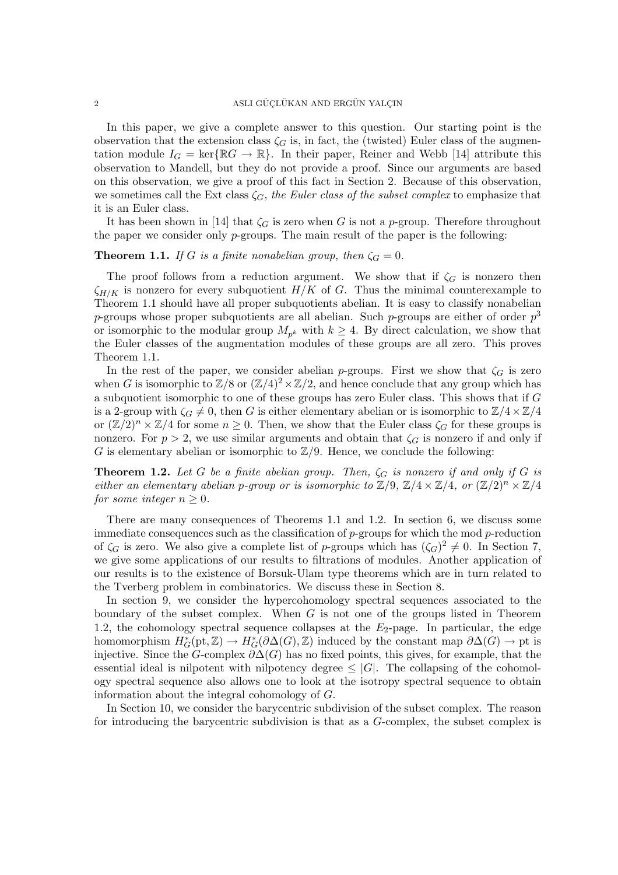#### 2 ASLI GÜÇLÜKAN AND ERGÜN YALÇIN

In this paper, we give a complete answer to this question. Our starting point is the observation that the extension class  $\zeta_G$  is, in fact, the (twisted) Euler class of the augmentation module  $I_G = \text{ker} \{ \mathbb{R} G \to \mathbb{R} \}$ . In their paper, Reiner and Webb [14] attribute this observation to Mandell, but they do not provide a proof. Since our arguments are based on this observation, we give a proof of this fact in Section 2. Because of this observation, we sometimes call the Ext class  $\zeta_G$ , the Euler class of the subset complex to emphasize that it is an Euler class.

It has been shown in [14] that  $\zeta_G$  is zero when G is not a p-group. Therefore throughout the paper we consider only  $p$ -groups. The main result of the paper is the following:

# **Theorem 1.1.** If G is a finite nonabelian group, then  $\zeta_G = 0$ .

The proof follows from a reduction argument. We show that if  $\zeta_G$  is nonzero then  $\zeta_{H/K}$  is nonzero for every subquotient  $H/K$  of G. Thus the minimal counterexample to Theorem 1.1 should have all proper subquotients abelian. It is easy to classify nonabelian p-groups whose proper subquotients are all abelian. Such p-groups are either of order  $p^3$ or isomorphic to the modular group  $M_{p^k}$  with  $k \geq 4$ . By direct calculation, we show that the Euler classes of the augmentation modules of these groups are all zero. This proves Theorem 1.1.

In the rest of the paper, we consider abelian p-groups. First we show that  $\zeta_G$  is zero when G is isomorphic to  $\mathbb{Z}/8$  or  $(\mathbb{Z}/4)^2 \times \mathbb{Z}/2$ , and hence conclude that any group which has a subquotient isomorphic to one of these groups has zero Euler class. This shows that if G is a 2-group with  $\zeta_G \neq 0$ , then G is either elementary abelian or is isomorphic to  $\mathbb{Z}/4 \times \mathbb{Z}/4$ or  $(\mathbb{Z}/2)^n \times \mathbb{Z}/4$  for some  $n \geq 0$ . Then, we show that the Euler class  $\zeta_G$  for these groups is nonzero. For  $p > 2$ , we use similar arguments and obtain that  $\zeta<sub>G</sub>$  is nonzero if and only if G is elementary abelian or isomorphic to  $\mathbb{Z}/9$ . Hence, we conclude the following:

**Theorem 1.2.** Let G be a finite abelian group. Then,  $\zeta_G$  is nonzero if and only if G is either an elementary abelian p-group or is isomorphic to  $\mathbb{Z}/9$ ,  $\mathbb{Z}/4 \times \mathbb{Z}/4$ , or  $(\mathbb{Z}/2)^n \times \mathbb{Z}/4$ for some integer  $n \geq 0$ .

There are many consequences of Theorems 1.1 and 1.2. In section 6, we discuss some immediate consequences such as the classification of  $p$ -groups for which the mod  $p$ -reduction of  $\zeta_G$  is zero. We also give a complete list of p-groups which has  $(\zeta_G)^2 \neq 0$ . In Section 7, we give some applications of our results to filtrations of modules. Another application of our results is to the existence of Borsuk-Ulam type theorems which are in turn related to the Tverberg problem in combinatorics. We discuss these in Section 8.

In section 9, we consider the hypercohomology spectral sequences associated to the boundary of the subset complex. When  $G$  is not one of the groups listed in Theorem 1.2, the cohomology spectral sequence collapses at the  $E_2$ -page. In particular, the edge homomorphism  $H^*_G(\text{pt}, \mathbb{Z}) \to H^*_G(\partial \Delta(G), \mathbb{Z})$  induced by the constant map  $\partial \Delta(G) \to \text{pt}$  is injective. Since the G-complex  $\partial \Delta(G)$  has no fixed points, this gives, for example, that the essential ideal is nilpotent with nilpotency degree  $\leq |G|$ . The collapsing of the cohomology spectral sequence also allows one to look at the isotropy spectral sequence to obtain information about the integral cohomology of G.

In Section 10, we consider the barycentric subdivision of the subset complex. The reason for introducing the barycentric subdivision is that as a G-complex, the subset complex is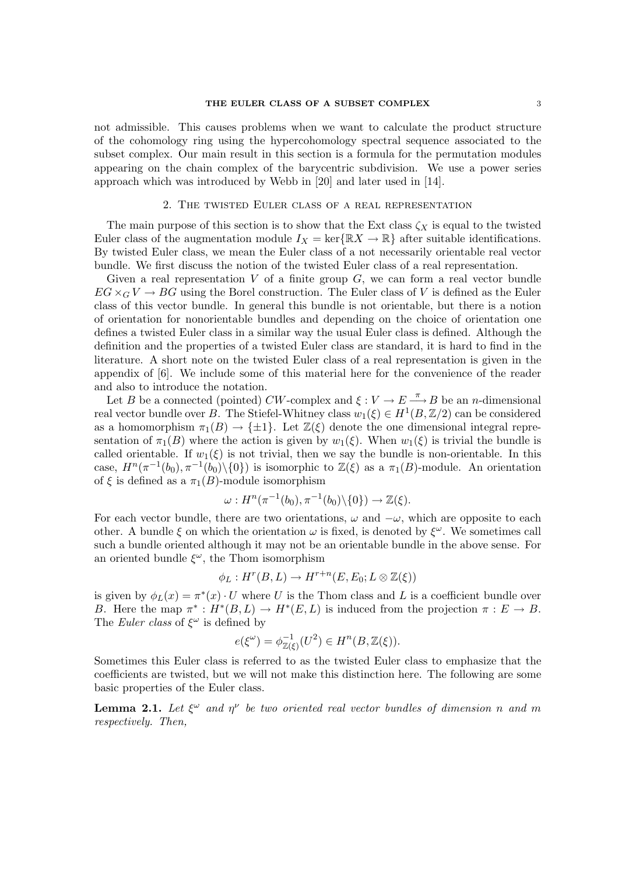### THE EULER CLASS OF A SUBSET COMPLEX 3

not admissible. This causes problems when we want to calculate the product structure of the cohomology ring using the hypercohomology spectral sequence associated to the subset complex. Our main result in this section is a formula for the permutation modules appearing on the chain complex of the barycentric subdivision. We use a power series approach which was introduced by Webb in [20] and later used in [14].

### 2. The twisted Euler class of a real representation

The main purpose of this section is to show that the Ext class  $\zeta_X$  is equal to the twisted Euler class of the augmentation module  $I_X = \text{ker} \{ \mathbb{R}X \to \mathbb{R} \}$  after suitable identifications. By twisted Euler class, we mean the Euler class of a not necessarily orientable real vector bundle. We first discuss the notion of the twisted Euler class of a real representation.

Given a real representation  $V$  of a finite group  $G$ , we can form a real vector bundle  $EG \times_G V \to BG$  using the Borel construction. The Euler class of V is defined as the Euler class of this vector bundle. In general this bundle is not orientable, but there is a notion of orientation for nonorientable bundles and depending on the choice of orientation one defines a twisted Euler class in a similar way the usual Euler class is defined. Although the definition and the properties of a twisted Euler class are standard, it is hard to find in the literature. A short note on the twisted Euler class of a real representation is given in the appendix of [6]. We include some of this material here for the convenience of the reader and also to introduce the notation.

Let B be a connected (pointed) CW-complex and  $\xi: V \to E \to B$  be an n-dimensional real vector bundle over B. The Stiefel-Whitney class  $w_1(\xi) \in H^1(B, \mathbb{Z}/2)$  can be considered as a homomorphism  $\pi_1(B) \to {\pm 1}$ . Let  $\mathbb{Z}(\xi)$  denote the one dimensional integral representation of  $\pi_1(B)$  where the action is given by  $w_1(\xi)$ . When  $w_1(\xi)$  is trivial the bundle is called orientable. If  $w_1(\xi)$  is not trivial, then we say the bundle is non-orientable. In this case,  $H^n(\pi^{-1}(b_0), \pi^{-1}(b_0)\setminus\{0\})$  is isomorphic to  $\mathbb{Z}(\xi)$  as a  $\pi_1(B)$ -module. An orientation of  $\xi$  is defined as a  $\pi_1(B)$ -module isomorphism

$$
\omega: H^n(\pi^{-1}(b_0), \pi^{-1}(b_0)\setminus\{0\}) \to \mathbb{Z}(\xi).
$$

For each vector bundle, there are two orientations,  $\omega$  and  $-\omega$ , which are opposite to each other. A bundle  $\xi$  on which the orientation  $\omega$  is fixed, is denoted by  $\xi^{\omega}$ . We sometimes call such a bundle oriented although it may not be an orientable bundle in the above sense. For an oriented bundle  $\xi^{\omega}$ , the Thom isomorphism

$$
\phi_L: H^r(B, L) \to H^{r+n}(E, E_0; L \otimes \mathbb{Z}(\xi))
$$

is given by  $\phi_L(x) = \pi^*(x) \cdot U$  where U is the Thom class and L is a coefficient bundle over B. Here the map  $\pi^*: H^*(B, L) \to H^*(E, L)$  is induced from the projection  $\pi: E \to B$ . The Euler class of  $\xi^{\omega}$  is defined by

$$
e(\xi^\omega)=\phi_{{\mathbb Z}(\xi)}^{-1}(U^2)\in H^n(B,{\mathbb Z}(\xi)).
$$

Sometimes this Euler class is referred to as the twisted Euler class to emphasize that the coefficients are twisted, but we will not make this distinction here. The following are some basic properties of the Euler class.

**Lemma 2.1.** Let  $\xi^{\omega}$  and  $\eta^{\nu}$  be two oriented real vector bundles of dimension n and m respectively. Then,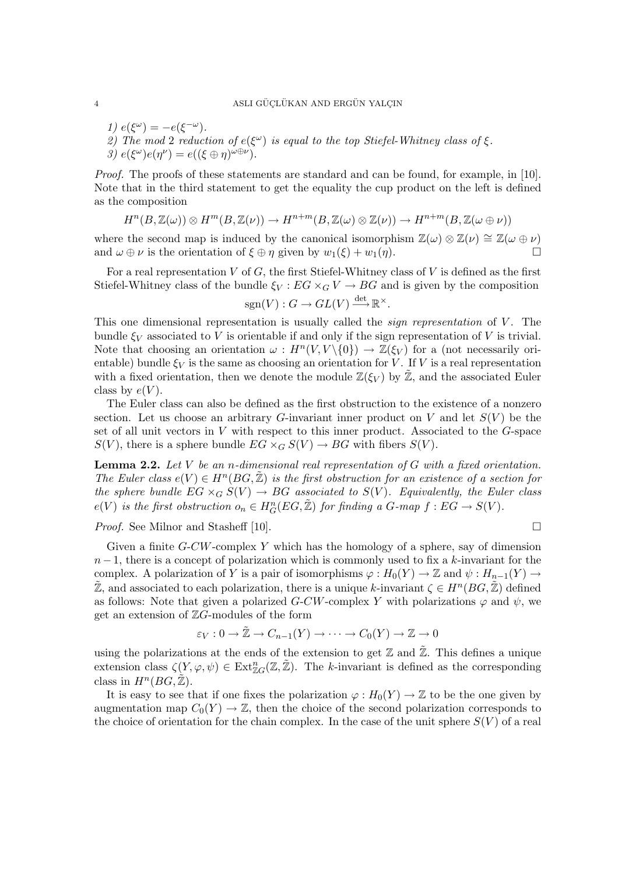- 1)  $e(\xi^{\omega}) = -e(\xi^{-\omega}).$
- 2) The mod 2 reduction of  $e(\xi^{\omega})$  is equal to the top Stiefel-Whitney class of  $\xi$ . 3)  $e(\xi^{\omega})e(\eta^{\nu}) = e((\xi \oplus \eta)^{\omega \oplus \nu}).$

Proof. The proofs of these statements are standard and can be found, for example, in [10]. Note that in the third statement to get the equality the cup product on the left is defined as the composition

$$
H^{n}(B, \mathbb{Z}(\omega)) \otimes H^{m}(B, \mathbb{Z}(\nu)) \to H^{n+m}(B, \mathbb{Z}(\omega) \otimes \mathbb{Z}(\nu)) \to H^{n+m}(B, \mathbb{Z}(\omega \oplus \nu))
$$

where the second map is induced by the canonical isomorphism  $\mathbb{Z}(\omega) \otimes \mathbb{Z}(\nu) \cong \mathbb{Z}(\omega \oplus \nu)$ and  $\omega \oplus \nu$  is the orientation of  $\xi \oplus \eta$  given by  $w_1(\xi) + w_1(\eta)$ .

For a real representation  $V$  of  $G$ , the first Stiefel-Whitney class of  $V$  is defined as the first Stiefel-Whitney class of the bundle  $\xi_V : EG \times_G V \to BG$  and is given by the composition  $\overline{\mathcal{A}}$ ot

$$
sgn(V): G \to GL(V) \xrightarrow{\det} \mathbb{R}^{\times}.
$$

This one dimensional representation is usually called the *sign representation* of  $V$ . The bundle  $\xi_V$  associated to V is orientable if and only if the sign representation of V is trivial. Note that choosing an orientation  $\omega : H^n(V, V \setminus \{0\}) \to \mathbb{Z}(\xi_V)$  for a (not necessarily orientable) bundle  $\xi_V$  is the same as choosing an orientation for V. If V is a real representation with a fixed orientation, then we denote the module  $\mathbb{Z}(\xi_V)$  by  $\mathbb{Z}$ , and the associated Euler class by  $e(V)$ .

The Euler class can also be defined as the first obstruction to the existence of a nonzero section. Let us choose an arbitrary G-invariant inner product on V and let  $S(V)$  be the set of all unit vectors in V with respect to this inner product. Associated to the G-space  $S(V)$ , there is a sphere bundle  $EG \times_G S(V) \to BG$  with fibers  $S(V)$ .

**Lemma 2.2.** Let  $V$  be an n-dimensional real representation of  $G$  with a fixed orientation. The Euler class  $e(V) \in H^n(BG, \mathbb{Z})$  is the first obstruction for an existence of a section for the sphere bundle  $EG \times_G S(V) \to BG$  associated to  $S(V)$ . Equivalently, the Euler class  $e(V)$  is the first obstruction  $o_n \in H^n_G(EG, \mathbb{Z})$  for finding a  $G$ -map  $f:EG \to S(V)$ .

*Proof.* See Milnor and Stasheff [10].  $\Box$ 

Given a finite  $G-CW$ -complex Y which has the homology of a sphere, say of dimension  $n-1$ , there is a concept of polarization which is commonly used to fix a k-invariant for the complex. A polarization of Y is a pair of isomorphisms  $\varphi : H_0(Y) \to \mathbb{Z}$  and  $\psi : H_{n-1}(Y) \to$  $\mathbb{Z}$ , and associated to each polarization, there is a unique k-invariant  $\zeta \in H^n(BG, \mathbb{Z})$  defined as follows: Note that given a polarized G-CW-complex Y with polarizations  $\varphi$  and  $\psi$ , we get an extension of  $\mathbb{Z}G$ -modules of the form

$$
\varepsilon_V: 0 \to \tilde{\mathbb{Z}} \to C_{n-1}(Y) \to \cdots \to C_0(Y) \to \mathbb{Z} \to 0
$$

using the polarizations at the ends of the extension to get  $\mathbb Z$  and  $\mathbb Z$ . This defines a unique extension class  $\zeta(Y,\varphi,\psi) \in \text{Ext}^n_{\mathbb{Z}G}(\mathbb{Z},\tilde{\mathbb{Z}})$ . The k-invariant is defined as the corresponding class in  $H^n(BG, \mathbb{Z})$ .

It is easy to see that if one fixes the polarization  $\varphi : H_0(Y) \to \mathbb{Z}$  to be the one given by augmentation map  $C_0(Y) \to \mathbb{Z}$ , then the choice of the second polarization corresponds to the choice of orientation for the chain complex. In the case of the unit sphere  $S(V)$  of a real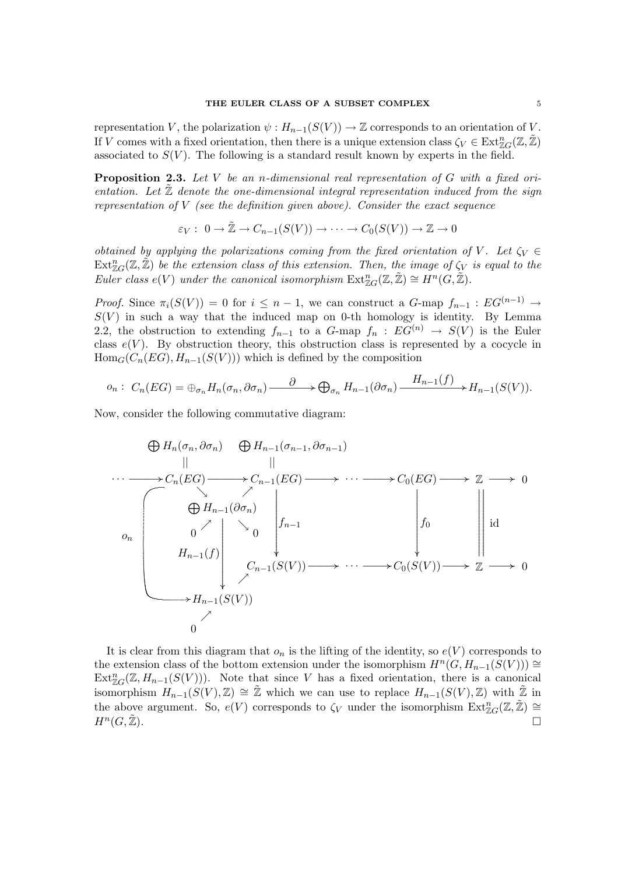representation V, the polarization  $\psi: H_{n-1}(S(V)) \to \mathbb{Z}$  corresponds to an orientation of V. If V comes with a fixed orientation, then there is a unique extension class  $\zeta_V \in \text{Ext}^n_{\mathbb{Z}G}(\mathbb{Z}, \tilde{\mathbb{Z}})$ associated to  $S(V)$ . The following is a standard result known by experts in the field.

**Proposition 2.3.** Let V be an *n*-dimensional real representation of G with a fixed orientation. Let  $\mathbb Z$  denote the one-dimensional integral representation induced from the sign representation of  $V$  (see the definition given above). Consider the exact sequence

$$
\varepsilon_V: 0 \to \tilde{\mathbb{Z}} \to C_{n-1}(S(V)) \to \cdots \to C_0(S(V)) \to \mathbb{Z} \to 0
$$

obtained by applying the polarizations coming from the fixed orientation of V. Let  $\zeta_V \in$  $\mathrm{Ext}^n_{\mathbb{Z} G}(\mathbb{Z}, \tilde{\mathbb{Z}})$  be the extension class of this extension. Then, the image of  $\zeta_V$  is equal to the Euler class  $e(V)$  under the canonical isomorphism  $\text{Ext}^n_{\mathbb{Z} G}(\mathbb{Z}, \tilde{\mathbb{Z}}) \cong H^n(G, \tilde{\mathbb{Z}})$ .

*Proof.* Since  $\pi_i(S(V)) = 0$  for  $i \leq n-1$ , we can construct a G-map  $f_{n-1} : EG^{(n-1)} \to$  $S(V)$  in such a way that the induced map on 0-th homology is identity. By Lemma 2.2, the obstruction to extending  $f_{n-1}$  to a  $G$ -map  $f_n : EG^{(n)} \to S(V)$  is the Euler class  $e(V)$ . By obstruction theory, this obstruction class is represented by a cocycle in  $\text{Hom}_G(C_n(EG), H_{n-1}(S(V)))$  which is defined by the composition

$$
o_n: C_n(EG) = \bigoplus_{\sigma_n} H_n(\sigma_n, \partial \sigma_n) \longrightarrow \bigoplus_{\sigma_n} H_{n-1}(\partial \sigma_n) \longrightarrow \frac{H_{n-1}(f)}{H_{n-1}(S(V))}.
$$

Now, consider the following commutative diagram:

$$
\bigoplus H_n(\sigma_n, \partial \sigma_n) \qquad \bigoplus H_{n-1}(\sigma_{n-1}, \partial \sigma_{n-1})
$$
\n
$$
\cdots \longrightarrow C_n(EG) \longrightarrow C_{n-1}(EG) \longrightarrow \cdots \longrightarrow C_0(EG) \longrightarrow \mathbb{Z} \longrightarrow 0
$$
\n
$$
\bigoplus \underset{O}{\bigoplus} H_{n-1}(\partial \sigma_n)
$$
\n
$$
\downarrow \qquad \qquad \downarrow \qquad \qquad \downarrow \qquad \qquad \downarrow \qquad \qquad \downarrow \qquad \qquad \downarrow \qquad \qquad \downarrow \qquad \downarrow \qquad \downarrow \qquad \downarrow \qquad \downarrow \qquad \downarrow \qquad \downarrow \qquad \downarrow \qquad \downarrow \qquad \downarrow \qquad \downarrow \qquad \downarrow \qquad \downarrow \qquad \downarrow \qquad \downarrow \qquad \downarrow \qquad \downarrow \qquad \downarrow \qquad \downarrow \qquad \downarrow \qquad \downarrow \qquad \downarrow \qquad \downarrow \qquad \downarrow \qquad \downarrow \qquad \downarrow \qquad \downarrow \qquad \downarrow \qquad \downarrow \qquad \downarrow \qquad \downarrow \qquad \downarrow \qquad \downarrow \qquad \downarrow \qquad \downarrow \qquad \downarrow \qquad \downarrow \qquad \downarrow \qquad \downarrow \qquad \downarrow \qquad \downarrow \qquad \downarrow \qquad \downarrow \qquad \downarrow \qquad \downarrow \qquad \downarrow \qquad \downarrow \qquad \downarrow \qquad \downarrow \qquad \downarrow \qquad \downarrow \qquad \downarrow \qquad \downarrow \qquad \downarrow \qquad \downarrow \qquad \downarrow \qquad \downarrow \qquad \downarrow \qquad \downarrow \qquad \downarrow \qquad \downarrow \qquad \downarrow \qquad \downarrow \qquad \downarrow \qquad \downarrow \qquad \downarrow \qquad \downarrow \qquad \downarrow \qquad \downarrow \qquad \downarrow \qquad \downarrow \qquad \downarrow \qquad \downarrow \qquad \downarrow \qquad \downarrow \qquad \downarrow \qquad \downarrow \qquad \downarrow \qquad \downarrow \qquad \downarrow \qquad \downarrow \qquad \downarrow \qquad \downarrow \qquad \downarrow \qquad \downarrow \qquad \downarrow \qquad \downarrow \qquad \downarrow \qquad \downarrow \qquad \downarrow \qquad \downarrow \qquad \downarrow \qquad \downarrow \qquad \downarrow \q
$$

It is clear from this diagram that  $o_n$  is the lifting of the identity, so  $e(V)$  corresponds to the extension class of the bottom extension under the isomorphism  $H^n(G, H_{n-1}(S(V))) \cong$  $\text{Ext}_{\mathbb{Z}G}^n(\mathbb{Z}, H_{n-1}(S(V)))$ . Note that since V has a fixed orientation, there is a canonical isomorphism  $H_{n-1}(S(V),\mathbb{Z}) \cong \mathbb{Z}$  which we can use to replace  $H_{n-1}(S(V),\mathbb{Z})$  with  $\mathbb{Z}$  in the above argument. So,  $e(V)$  corresponds to  $\zeta_V$  under the isomorphism  $\text{Ext}^n_{\mathbb{Z}G}(\mathbb{Z}, \tilde{\mathbb{Z}}) \cong$  $H^n(G,\tilde{Z})$ .  $(G,\tilde{\mathbb{Z}}).$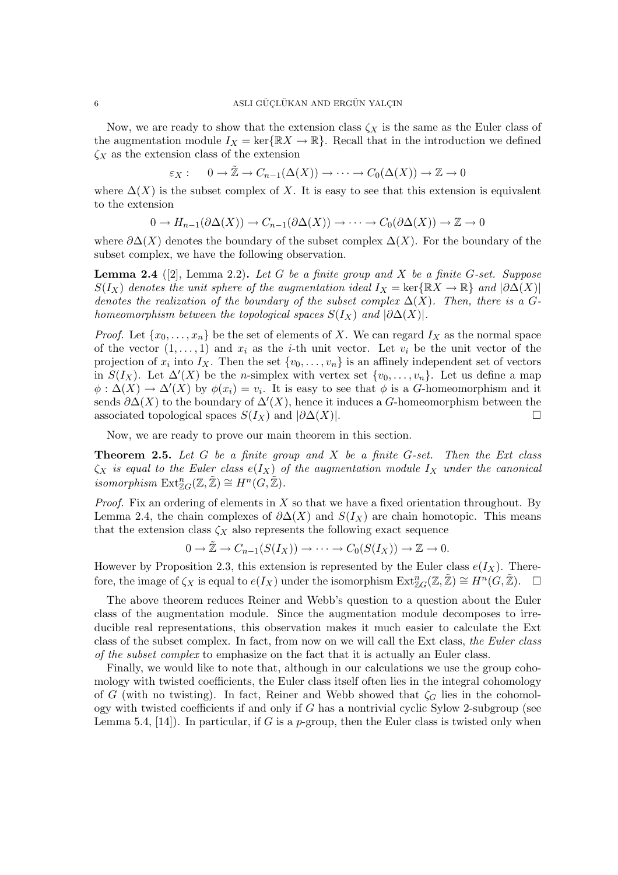Now, we are ready to show that the extension class  $\zeta_X$  is the same as the Euler class of the augmentation module  $I_X = \text{ker}\{\mathbb{R}X \to \mathbb{R}\}$ . Recall that in the introduction we defined  $\zeta_X$  as the extension class of the extension

 $\varepsilon_X : 0 \to \tilde{\mathbb{Z}} \to C_{n-1}(\Delta(X)) \to \cdots \to C_0(\Delta(X)) \to \mathbb{Z} \to 0$ 

where  $\Delta(X)$  is the subset complex of X. It is easy to see that this extension is equivalent to the extension

$$
0 \to H_{n-1}(\partial \Delta(X)) \to C_{n-1}(\partial \Delta(X)) \to \cdots \to C_0(\partial \Delta(X)) \to \mathbb{Z} \to 0
$$

where  $\partial \Delta(X)$  denotes the boundary of the subset complex  $\Delta(X)$ . For the boundary of the subset complex, we have the following observation.

**Lemma 2.4** ([2], Lemma 2.2). Let G be a finite group and X be a finite G-set. Suppose  $S(I_X)$  denotes the unit sphere of the augmentation ideal  $I_X = \text{ker}\{\mathbb{R}X \to \mathbb{R}\}\$  and  $|\partial \Delta(X)|$ denotes the realization of the boundary of the subset complex  $\Delta(X)$ . Then, there is a Ghomeomorphism between the topological spaces  $S(I_X)$  and  $|\partial \Delta(X)|$ .

*Proof.* Let  $\{x_0, \ldots, x_n\}$  be the set of elements of X. We can regard  $I_X$  as the normal space of the vector  $(1, \ldots, 1)$  and  $x_i$  as the *i*-th unit vector. Let  $v_i$  be the unit vector of the projection of  $x_i$  into  $I_X$ . Then the set  $\{v_0, \ldots, v_n\}$  is an affinely independent set of vectors in  $S(I_X)$ . Let  $\Delta'(X)$  be the *n*-simplex with vertex set  $\{v_0, \ldots, v_n\}$ . Let us define a map  $\phi : \Delta(X) \to \Delta'(X)$  by  $\phi(x_i) = v_i$ . It is easy to see that  $\phi$  is a G-homeomorphism and it sends  $\partial \Delta(X)$  to the boundary of  $\Delta'(X)$ , hence it induces a G-homeomorphism between the associated topological spaces  $S(I_X)$  and  $|\partial \Delta(X)|$ .

Now, we are ready to prove our main theorem in this section.

**Theorem 2.5.** Let  $G$  be a finite group and  $X$  be a finite  $G$ -set. Then the Ext class  $\zeta_X$  is equal to the Euler class  $e(I_X)$  of the augmentation module  $I_X$  under the canonical isomorphism  $\operatorname{Ext}^n_{\mathbb{Z} G}(\mathbb{Z}, \tilde{\mathbb{Z}}) \cong H^n(G, \tilde{\mathbb{Z}})$ .

*Proof.* Fix an ordering of elements in  $X$  so that we have a fixed orientation throughout. By Lemma 2.4, the chain complexes of  $\partial \Delta(X)$  and  $S(I_X)$  are chain homotopic. This means that the extension class  $\zeta_X$  also represents the following exact sequence

$$
0 \to \tilde{\mathbb{Z}} \to C_{n-1}(S(I_X)) \to \cdots \to C_0(S(I_X)) \to \mathbb{Z} \to 0.
$$

However by Proposition 2.3, this extension is represented by the Euler class  $e(I_X)$ . Therefore, the image of  $\zeta_X$  is equal to  $e(I_X)$  under the isomorphism  $\text{Ext}^n_{\mathbb{Z}G}(\mathbb{Z}, \tilde{\mathbb{Z}}) \cong H^n(G, \tilde{\mathbb{Z}})$ .  $\Box$ 

The above theorem reduces Reiner and Webb's question to a question about the Euler class of the augmentation module. Since the augmentation module decomposes to irreducible real representations, this observation makes it much easier to calculate the Ext class of the subset complex. In fact, from now on we will call the Ext class, the Euler class of the subset complex to emphasize on the fact that it is actually an Euler class.

Finally, we would like to note that, although in our calculations we use the group cohomology with twisted coefficients, the Euler class itself often lies in the integral cohomology of G (with no twisting). In fact, Reiner and Webb showed that  $\zeta_G$  lies in the cohomology with twisted coefficients if and only if  $G$  has a nontrivial cyclic Sylow 2-subgroup (see Lemma 5.4, [14]). In particular, if G is a p-group, then the Euler class is twisted only when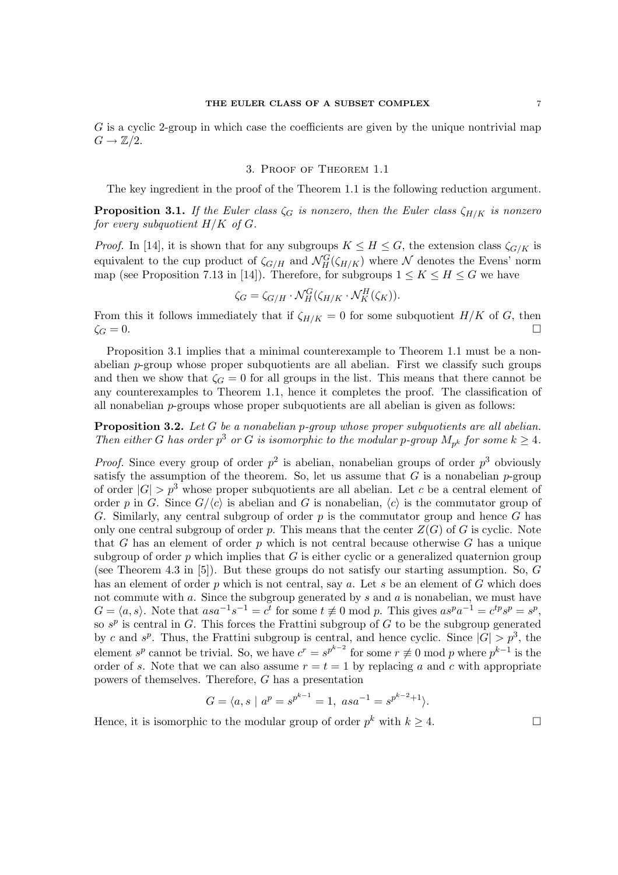G is a cyclic 2-group in which case the coefficients are given by the unique nontrivial map  $G \to \mathbb{Z}/2$ .

# 3. Proof of Theorem 1.1

The key ingredient in the proof of the Theorem 1.1 is the following reduction argument.

**Proposition 3.1.** If the Euler class  $\zeta_G$  is nonzero, then the Euler class  $\zeta_{H/K}$  is nonzero for every subquotient  $H/K$  of  $G$ .

*Proof.* In [14], it is shown that for any subgroups  $K \leq H \leq G$ , the extension class  $\zeta_{G/K}$  is equivalent to the cup product of  $\zeta_{G/H}$  and  $\mathcal{N}_H^G(\zeta_{H/K})$  where  $\mathcal N$  denotes the Evens' norm map (see Proposition 7.13 in [14]). Therefore, for subgroups  $1 \leq K \leq H \leq G$  we have

$$
\zeta_G = \zeta_{G/H} \cdot \mathcal{N}_H^G(\zeta_{H/K} \cdot \mathcal{N}_K^H(\zeta_K)).
$$

From this it follows immediately that if  $\zeta_{H/K} = 0$  for some subquotient  $H/K$  of G, then  $\zeta_G = 0.$ 

Proposition 3.1 implies that a minimal counterexample to Theorem 1.1 must be a nonabelian  $p$ -group whose proper subquotients are all abelian. First we classify such groups and then we show that  $\zeta_G = 0$  for all groups in the list. This means that there cannot be any counterexamples to Theorem 1.1, hence it completes the proof. The classification of all nonabelian  $p$ -groups whose proper subquotients are all abelian is given as follows:

**Proposition 3.2.** Let G be a nonabelian p-group whose proper subquotients are all abelian. Then either G has order  $p^3$  or G is isomorphic to the modular p-group  $M_{p^k}$  for some  $k \geq 4$ .

*Proof.* Since every group of order  $p^2$  is abelian, nonabelian groups of order  $p^3$  obviously satisfy the assumption of the theorem. So, let us assume that G is a nonabelian  $p$ -group of order  $|G| > p<sup>3</sup>$  whose proper subquotients are all abelian. Let c be a central element of order p in G. Since  $G/\langle c \rangle$  is abelian and G is nonabelian,  $\langle c \rangle$  is the commutator group of G. Similarly, any central subgroup of order  $p$  is the commutator group and hence  $G$  has only one central subgroup of order p. This means that the center  $Z(G)$  of G is cyclic. Note that G has an element of order p which is not central because otherwise G has a unique subgroup of order  $p$  which implies that  $G$  is either cyclic or a generalized quaternion group (see Theorem 4.3 in [5]). But these groups do not satisfy our starting assumption. So,  $G$ has an element of order p which is not central, say a. Let s be an element of  $G$  which does not commute with a. Since the subgroup generated by s and a is nonabelian, we must have  $G = \langle a, s \rangle$ . Note that  $asa^{-1}s^{-1} = c^t$  for some  $t \not\equiv 0 \mod p$ . This gives  $as^pa^{-1} = c^tps^p = s^p$ , so  $s^p$  is central in G. This forces the Frattini subgroup of G to be the subgroup generated by c and  $s^p$ . Thus, the Frattini subgroup is central, and hence cyclic. Since  $|G| > p^3$ , the element  $s^p$  cannot be trivial. So, we have  $c^r = s^{p^{k-2}}$  for some  $r \not\equiv 0 \mod p$  where  $p^{k-1}$  is the order of s. Note that we can also assume  $r = t = 1$  by replacing a and c with appropriate powers of themselves. Therefore, G has a presentation

$$
G = \langle a, s \mid a^p = s^{p^{k-1}} = 1, \text{ as } a^{-1} = s^{p^{k-2}+1} \rangle.
$$

Hence, it is isomorphic to the modular group of order  $p^k$  with  $k \geq 4$ .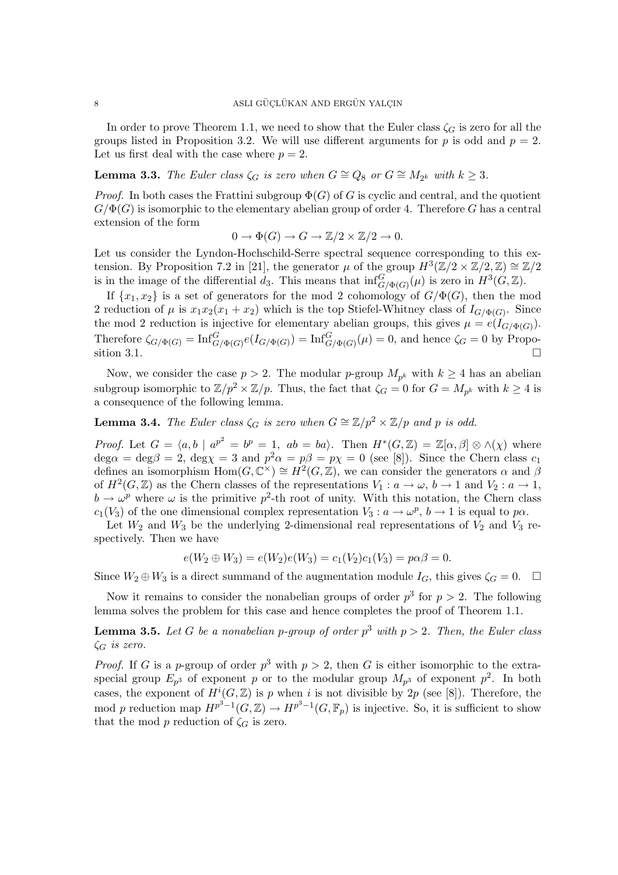In order to prove Theorem 1.1, we need to show that the Euler class  $\zeta_G$  is zero for all the groups listed in Proposition 3.2. We will use different arguments for p is odd and  $p = 2$ . Let us first deal with the case where  $p = 2$ .

# **Lemma 3.3.** The Euler class  $\zeta_G$  is zero when  $G \cong Q_8$  or  $G \cong M_{2^k}$  with  $k \geq 3$ .

*Proof.* In both cases the Frattini subgroup  $\Phi(G)$  of G is cyclic and central, and the quotient  $G/\Phi(G)$  is isomorphic to the elementary abelian group of order 4. Therefore G has a central extension of the form

$$
0 \to \Phi(G) \to G \to \mathbb{Z}/2 \times \mathbb{Z}/2 \to 0.
$$

Let us consider the Lyndon-Hochschild-Serre spectral sequence corresponding to this extension. By Proposition 7.2 in [21], the generator  $\mu$  of the group  $H^3(\mathbb{Z}/2 \times \mathbb{Z}/2, \mathbb{Z}) \cong \mathbb{Z}/2$ is in the image of the differential  $d_3$ . This means that  $\inf_{G/\Phi(G)}^G(\mu)$  is zero in  $H^3(G,\mathbb{Z})$ .

If  $\{x_1, x_2\}$  is a set of generators for the mod 2 cohomology of  $G/\Phi(G)$ , then the mod 2 reduction of  $\mu$  is  $x_1x_2(x_1+x_2)$  which is the top Stiefel-Whitney class of  $I_{G/\Phi(G)}$ . Since the mod 2 reduction is injective for elementary abelian groups, this gives  $\mu = e(I_{G/\Phi(G)})$ . Therefore  $\zeta_{G/\Phi(G)} = \text{Inf}_{G/\Phi(G)}^G e(I_{G/\Phi(G)}) = \text{Inf}_{G/\Phi(G)}^G(\mu) = 0$ , and hence  $\zeta_G = 0$  by Proposition 3.1.  $\Box$ 

Now, we consider the case  $p > 2$ . The modular p-group  $M_{p^k}$  with  $k \geq 4$  has an abelian subgroup isomorphic to  $\mathbb{Z}/p^2 \times \mathbb{Z}/p$ . Thus, the fact that  $\zeta_G = 0$  for  $G = M_{p^k}$  with  $k \geq 4$  is a consequence of the following lemma.

**Lemma 3.4.** The Euler class  $\zeta_G$  is zero when  $G \cong \mathbb{Z}/p^2 \times \mathbb{Z}/p$  and p is odd.

*Proof.* Let  $G = \langle a, b \mid a^{p^2} = b^p = 1, ab = ba \rangle$ . Then  $H^*(G, \mathbb{Z}) = \mathbb{Z}[\alpha, \beta] \otimes \wedge(\chi)$  where  $\text{deg}\alpha = \text{deg}\beta = 2$ ,  $\text{deg}\chi = 3$  and  $p^2\alpha = p\beta = p\chi = 0$  (see [8]). Since the Chern class  $c_1$ defines an isomorphism  $\text{Hom}(G, \mathbb{C}^{\times}) \cong H^{2}(G, \mathbb{Z})$ , we can consider the generators  $\alpha$  and  $\beta$ of  $H^2(G,\mathbb{Z})$  as the Chern classes of the representations  $V_1: a \to \omega, b \to 1$  and  $V_2: a \to 1$ ,  $b \to \omega^p$  where  $\omega$  is the primitive  $p^2$ -th root of unity. With this notation, the Chern class  $c_1(V_3)$  of the one dimensional complex representation  $V_3: a \to \omega^p$ ,  $b \to 1$  is equal to  $p\alpha$ .

Let  $W_2$  and  $W_3$  be the underlying 2-dimensional real representations of  $V_2$  and  $V_3$  respectively. Then we have

$$
e(W_2 \oplus W_3) = e(W_2)e(W_3) = c_1(V_2)c_1(V_3) = p\alpha\beta = 0.
$$

Since  $W_2 \oplus W_3$  is a direct summand of the augmentation module  $I_G$ , this gives  $\zeta_G = 0$ .  $\Box$ 

Now it remains to consider the nonabelian groups of order  $p^3$  for  $p > 2$ . The following lemma solves the problem for this case and hence completes the proof of Theorem 1.1.

**Lemma 3.5.** Let G be a nonabelian p-group of order  $p^3$  with  $p > 2$ . Then, the Euler class  $\zeta_G$  is zero.

*Proof.* If G is a p-group of order  $p^3$  with  $p > 2$ , then G is either isomorphic to the extraspecial group  $E_{p^3}$  of exponent p or to the modular group  $M_{p^3}$  of exponent  $p^2$ . In both cases, the exponent of  $H^i(G, \mathbb{Z})$  is p when i is not divisible by  $2p$  (see [8]). Therefore, the mod p reduction map  $H^{p^3-1}(G,\mathbb{Z}) \to H^{p^3-1}(G,\mathbb{F}_p)$  is injective. So, it is sufficient to show that the mod p reduction of  $\zeta_G$  is zero.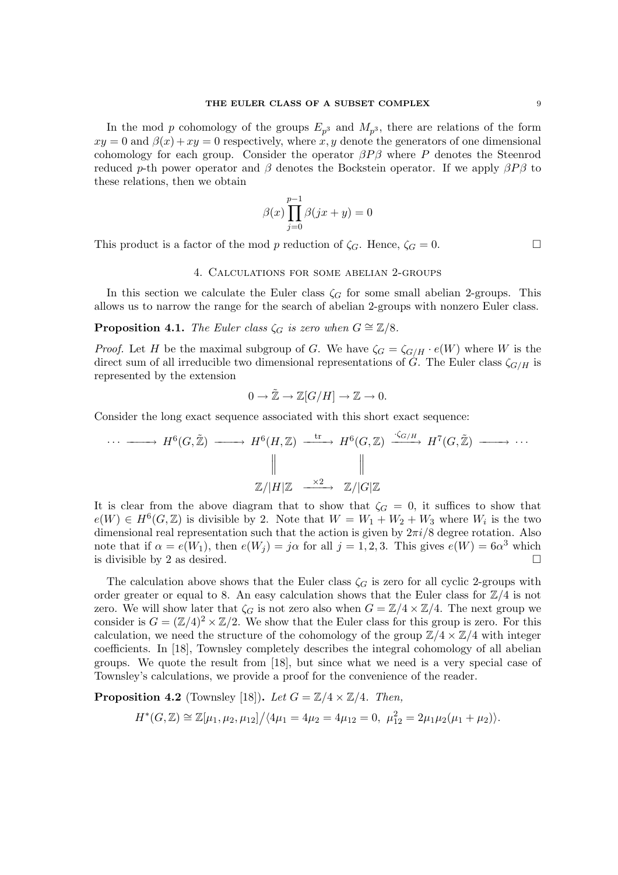In the mod p cohomology of the groups  $E_{p^3}$  and  $M_{p^3}$ , there are relations of the form  $xy = 0$  and  $\beta(x) + xy = 0$  respectively, where x, y denote the generators of one dimensional cohomology for each group. Consider the operator  $\beta P \beta$  where P denotes the Steenrod reduced p-th power operator and  $\beta$  denotes the Bockstein operator. If we apply  $\beta P \beta$  to these relations, then we obtain

$$
\beta(x)\prod_{j=0}^{p-1}\beta(jx+y) = 0
$$

This product is a factor of the mod p reduction of  $\zeta_G$ . Hence,  $\zeta_G = 0$ .

#### 4. Calculations for some abelian 2-groups

In this section we calculate the Euler class  $\zeta_G$  for some small abelian 2-groups. This allows us to narrow the range for the search of abelian 2-groups with nonzero Euler class.

**Proposition 4.1.** The Euler class  $\zeta_G$  is zero when  $G \cong \mathbb{Z}/8$ .

*Proof.* Let H be the maximal subgroup of G. We have  $\zeta_G = \zeta_{G/H} \cdot e(W)$  where W is the direct sum of all irreducible two dimensional representations of G. The Euler class  $\zeta_{G/H}$  is represented by the extension

$$
0 \to \tilde{\mathbb{Z}} \to \mathbb{Z}[G/H] \to \mathbb{Z} \to 0.
$$

Consider the long exact sequence associated with this short exact sequence:

$$
\cdots \longrightarrow H^{6}(G, \tilde{\mathbb{Z}}) \longrightarrow H^{6}(H, \mathbb{Z}) \xrightarrow{\text{tr}} H^{6}(G, \mathbb{Z}) \xrightarrow{\cdot \zeta_{G/H}} H^{7}(G, \tilde{\mathbb{Z}}) \longrightarrow \cdots
$$
  

$$
\parallel \qquad \qquad \parallel
$$
  

$$
\mathbb{Z}/|H|\mathbb{Z} \xrightarrow{\times 2} \mathbb{Z}/|G|\mathbb{Z}
$$

It is clear from the above diagram that to show that  $\zeta_G = 0$ , it suffices to show that  $e(W) \in H^{6}(G, \mathbb{Z})$  is divisible by 2. Note that  $W = W_1 + W_2 + W_3$  where  $W_i$  is the two dimensional real representation such that the action is given by  $2\pi i/8$  degree rotation. Also note that if  $\alpha = e(W_1)$ , then  $e(W_j) = j\alpha$  for all  $j = 1, 2, 3$ . This gives  $e(W) = 6\alpha^3$  which is divisible by 2 as desired.  $\Box$ 

The calculation above shows that the Euler class  $\zeta_G$  is zero for all cyclic 2-groups with order greater or equal to 8. An easy calculation shows that the Euler class for  $\mathbb{Z}/4$  is not zero. We will show later that  $\zeta_G$  is not zero also when  $G = \mathbb{Z}/4 \times \mathbb{Z}/4$ . The next group we consider is  $G = (\mathbb{Z}/4)^2 \times \mathbb{Z}/2$ . We show that the Euler class for this group is zero. For this calculation, we need the structure of the cohomology of the group  $\mathbb{Z}/4 \times \mathbb{Z}/4$  with integer coefficients. In [18], Townsley completely describes the integral cohomology of all abelian groups. We quote the result from [18], but since what we need is a very special case of Townsley's calculations, we provide a proof for the convenience of the reader.

**Proposition 4.2** (Townsley [18]). Let  $G = \mathbb{Z}/4 \times \mathbb{Z}/4$ . Then,

$$
H^*(G, \mathbb{Z}) \cong \mathbb{Z}[\mu_1, \mu_2, \mu_{12}]/\langle 4\mu_1 = 4\mu_2 = 4\mu_{12} = 0, \ \mu_{12}^2 = 2\mu_1\mu_2(\mu_1 + \mu_2)).
$$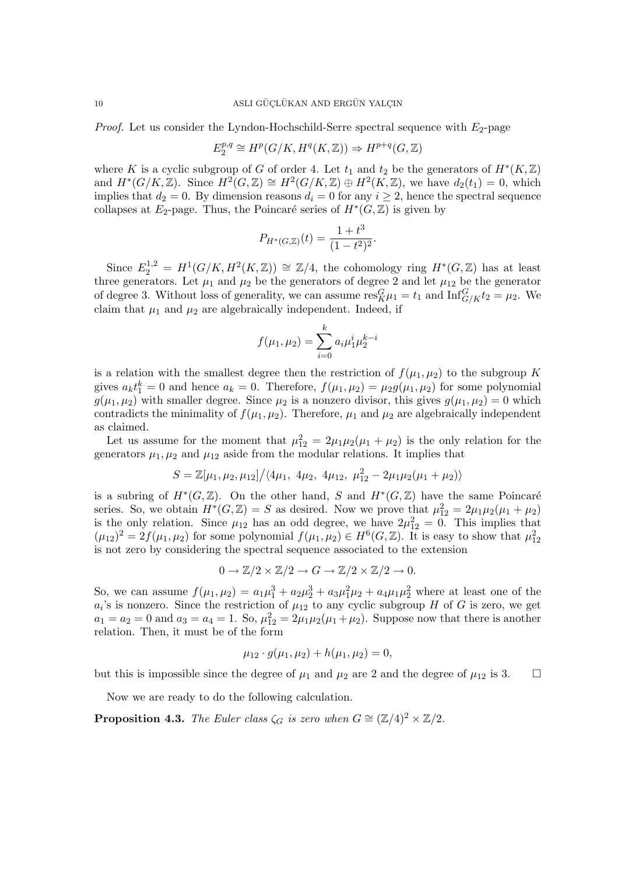*Proof.* Let us consider the Lyndon-Hochschild-Serre spectral sequence with  $E_2$ -page

$$
E_2^{p,q} \cong H^p(G/K, H^q(K, \mathbb{Z})) \Rightarrow H^{p+q}(G, \mathbb{Z})
$$

where K is a cyclic subgroup of G of order 4. Let  $t_1$  and  $t_2$  be the generators of  $H^*(K,\mathbb{Z})$ and  $H^*(G/K,\mathbb{Z})$ . Since  $H^2(G,\mathbb{Z}) \cong H^2(G/K,\mathbb{Z}) \oplus H^2(K,\mathbb{Z})$ , we have  $d_2(t_1) = 0$ , which implies that  $d_2 = 0$ . By dimension reasons  $d_i = 0$  for any  $i \geq 2$ , hence the spectral sequence collapses at  $E_2$ -page. Thus, the Poincaré series of  $H^*(G, \mathbb{Z})$  is given by

$$
P_{H^*(G,\mathbb{Z})}(t) = \frac{1+t^3}{(1-t^2)^2}.
$$

Since  $E_2^{1,2} = H^1(G/K, H^2(K,\mathbb{Z})) \cong \mathbb{Z}/4$ , the cohomology ring  $H^*(G,\mathbb{Z})$  has at least three generators. Let  $\mu_1$  and  $\mu_2$  be the generators of degree 2 and let  $\mu_{12}$  be the generator of degree 3. Without loss of generality, we can assume  $\text{res}_{K}^{G} \mu_1 = t_1$  and  $\text{Inf}_{G/K}^{G} t_2 = \mu_2$ . We claim that  $\mu_1$  and  $\mu_2$  are algebraically independent. Indeed, if

$$
f(\mu_1, \mu_2) = \sum_{i=0}^{k} a_i \mu_1^i \mu_2^{k-i}
$$

is a relation with the smallest degree then the restriction of  $f(\mu_1, \mu_2)$  to the subgroup K gives  $a_k t_1^k = 0$  and hence  $a_k = 0$ . Therefore,  $f(\mu_1, \mu_2) = \mu_2 g(\mu_1, \mu_2)$  for some polynomial  $g(\mu_1, \mu_2)$  with smaller degree. Since  $\mu_2$  is a nonzero divisor, this gives  $g(\mu_1, \mu_2) = 0$  which contradicts the minimality of  $f(\mu_1, \mu_2)$ . Therefore,  $\mu_1$  and  $\mu_2$  are algebraically independent as claimed.

Let us assume for the moment that  $\mu_{12}^2 = 2\mu_1\mu_2(\mu_1 + \mu_2)$  is the only relation for the generators  $\mu_1, \mu_2$  and  $\mu_{12}$  aside from the modular relations. It implies that

$$
S = \mathbb{Z}[\mu_1, \mu_2, \mu_{12}]/\langle 4\mu_1, 4\mu_2, 4\mu_{12}, \mu_{12}^2 - 2\mu_1\mu_2(\mu_1 + \mu_2)\rangle
$$

is a subring of  $H^*(G, \mathbb{Z})$ . On the other hand, S and  $H^*(G, \mathbb{Z})$  have the same Poincaré series. So, we obtain  $H^*(G, \mathbb{Z}) = S$  as desired. Now we prove that  $\mu_{12}^2 = 2\mu_1\mu_2(\mu_1 + \mu_2)$ is the only relation. Since  $\mu_{12}$  has an odd degree, we have  $2\mu_{12}^2 = 0$ . This implies that  $(\mu_{12})^2 = 2f(\mu_1, \mu_2)$  for some polynomial  $f(\mu_1, \mu_2) \in H^6(G, \mathbb{Z})$ . It is easy to show that  $\mu_{12}^2$ is not zero by considering the spectral sequence associated to the extension

$$
0 \to \mathbb{Z}/2 \times \mathbb{Z}/2 \to G \to \mathbb{Z}/2 \times \mathbb{Z}/2 \to 0.
$$

So, we can assume  $f(\mu_1, \mu_2) = a_1\mu_1^3 + a_2\mu_2^3 + a_3\mu_1^2\mu_2 + a_4\mu_1\mu_2^2$  where at least one of the  $a_i$ 's is nonzero. Since the restriction of  $\mu_{12}$  to any cyclic subgroup H of G is zero, we get  $a_1 = a_2 = 0$  and  $a_3 = a_4 = 1$ . So,  $\mu_{12}^2 = 2\mu_1\mu_2(\mu_1 + \mu_2)$ . Suppose now that there is another relation. Then, it must be of the form

$$
\mu_{12} \cdot g(\mu_1, \mu_2) + h(\mu_1, \mu_2) = 0,
$$

but this is impossible since the degree of  $\mu_1$  and  $\mu_2$  are 2 and the degree of  $\mu_{12}$  is 3.  $\Box$ 

Now we are ready to do the following calculation.

**Proposition 4.3.** The Euler class  $\zeta_G$  is zero when  $G \cong (\mathbb{Z}/4)^2 \times \mathbb{Z}/2$ .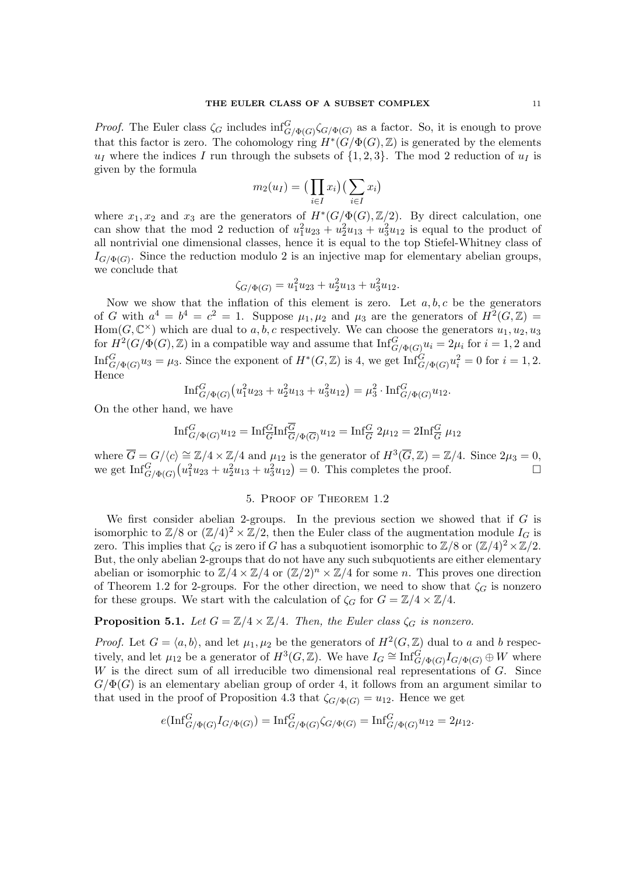*Proof.* The Euler class  $\zeta_G$  includes  $\inf_{G/\Phi(G)}^G \zeta_{G/\Phi(G)}$  as a factor. So, it is enough to prove that this factor is zero. The cohomology ring  $H^*(G/\Phi(G), \mathbb{Z})$  is generated by the elements  $u_I$  where the indices I run through the subsets of  $\{1, 2, 3\}$ . The mod 2 reduction of  $u_I$  is given by the formula

$$
m_2(u_I) = \big(\prod_{i \in I} x_i\big)\big(\sum_{i \in I} x_i\big)
$$

where  $x_1, x_2$  and  $x_3$  are the generators of  $H^*(G/\Phi(G), \mathbb{Z}/2)$ . By direct calculation, one can show that the mod 2 reduction of  $u_1^2 u_{23} + u_2^2 u_{13} + u_3^2 u_{12}$  is equal to the product of all nontrivial one dimensional classes, hence it is equal to the top Stiefel-Whitney class of  $I_{G/\Phi(G)}$ . Since the reduction modulo 2 is an injective map for elementary abelian groups, we conclude that

$$
\zeta_{G/\Phi(G)} = u_1^2 u_{23} + u_2^2 u_{13} + u_3^2 u_{12}.
$$

Now we show that the inflation of this element is zero. Let  $a, b, c$  be the generators of G with  $a^4 = b^4 = c^2 = 1$ . Suppose  $\mu_1, \mu_2$  and  $\mu_3$  are the generators of  $H^2(G, \mathbb{Z}) =$ Hom $(G, \mathbb{C}^{\times})$  which are dual to  $a, b, c$  respectively. We can choose the generators  $u_1, u_2, u_3$ for  $H^2(G/\Phi(G), \mathbb{Z})$  in a compatible way and assume that  $\text{Inf}_{G/\Phi(G)}^G u_i = 2\mu_i$  for  $i = 1, 2$  and  $\text{Inf}_{G/\Phi(G)}^G u_3 = \mu_3$ . Since the exponent of  $H^*(G, \mathbb{Z})$  is 4, we get  $\text{Inf}_{G/\Phi(G)}^G u_i^2 = 0$  for  $i = 1, 2$ . Hence ¡

$$
\operatorname{Inf}_{G/\Phi(G)}^G(u_1^2 u_{23} + u_2^2 u_{13} + u_3^2 u_{12}) = \mu_3^2 \cdot \operatorname{Inf}_{G/\Phi(G)}^G u_{12}.
$$

On the other hand, we have

$$
\operatorname{Inf}_{G/\Phi(G)}^G u_{12} = \operatorname{Inf}_{\overline{G}}^G \operatorname{Inf}_{\overline{G}/\Phi(\overline{G})}^{\overline{G}} u_{12} = \operatorname{Inf}_{\overline{G}}^G 2\mu_{12} = 2\operatorname{Inf}_{\overline{G}}^G \mu_{12}
$$

where  $\overline{G} = G/\langle c \rangle \cong \mathbb{Z}/4 \times \mathbb{Z}/4$  and  $\mu_{12}$  is the generator of  $H^3(\overline{G}, \mathbb{Z}) = \mathbb{Z}/4$ . Since  $2\mu_3 = 0$ , where  $G = G/(c) = \mathbb{Z}/4 \times \mathbb{Z}/4$  and  $\mu_{12}$  is the generator of  $H^*(G, \mathbb{Z}) = \mathbb{Z}/4$ . Since  $2\mu_3 = 0$ ,<br>we get  $\text{Inf}_{G/\Phi(G)}^G(u_1^2u_{23} + u_2^2u_{13} + u_3^2u_{12}) = 0$ . This completes the proof.

# 5. Proof of Theorem 1.2

We first consider abelian 2-groups. In the previous section we showed that if  $G$  is isomorphic to  $\mathbb{Z}/8$  or  $(\mathbb{Z}/4)^2 \times \mathbb{Z}/2$ , then the Euler class of the augmentation module  $I_G$  is zero. This implies that  $\zeta_G$  is zero if G has a subquotient isomorphic to  $\mathbb{Z}/8$  or  $(\mathbb{Z}/4)^2 \times \mathbb{Z}/2$ . But, the only abelian 2-groups that do not have any such subquotients are either elementary abelian or isomorphic to  $\mathbb{Z}/4 \times \mathbb{Z}/4$  or  $(\mathbb{Z}/2)^n \times \mathbb{Z}/4$  for some n. This proves one direction of Theorem 1.2 for 2-groups. For the other direction, we need to show that  $\zeta_G$  is nonzero for these groups. We start with the calculation of  $\zeta_G$  for  $G = \mathbb{Z}/4 \times \mathbb{Z}/4$ .

# **Proposition 5.1.** Let  $G = \mathbb{Z}/4 \times \mathbb{Z}/4$ . Then, the Euler class  $\zeta_G$  is nonzero.

*Proof.* Let  $G = \langle a, b \rangle$ , and let  $\mu_1, \mu_2$  be the generators of  $H^2(G, \mathbb{Z})$  dual to a and b respectively, and let  $\mu_{12}$  be a generator of  $H^3(G,\mathbb{Z})$ . We have  $I_G \cong \text{Inf}_{G/\Phi(G)}^G I_{G/\Phi(G)} \oplus W$  where  $W$  is the direct sum of all irreducible two dimensional real representations of  $G$ . Since  $G/\Phi(G)$  is an elementary abelian group of order 4, it follows from an argument similar to that used in the proof of Proposition 4.3 that  $\zeta_{G/\Phi(G)} = u_{12}$ . Hence we get

$$
e(\text{Inf}_{G/\Phi(G)}^G I_{G/\Phi(G)}) = \text{Inf}_{G/\Phi(G)}^G \zeta_{G/\Phi(G)} = \text{Inf}_{G/\Phi(G)}^G u_{12} = 2\mu_{12}.
$$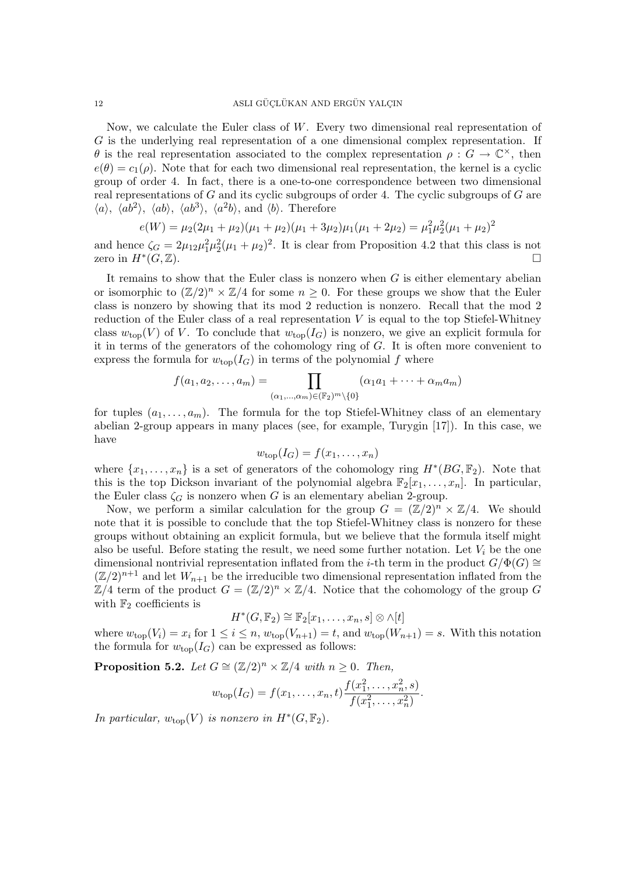Now, we calculate the Euler class of  $W$ . Every two dimensional real representation of G is the underlying real representation of a one dimensional complex representation. If θ is the real representation associated to the complex representation  $ρ : G \to \mathbb{C}^{\times}$ , then  $e(\theta) = c_1(\rho)$ . Note that for each two dimensional real representation, the kernel is a cyclic group of order 4. In fact, there is a one-to-one correspondence between two dimensional real representations of G and its cyclic subgroups of order 4. The cyclic subgroups of  $G$  are  $\langle a \rangle$ ,  $\langle ab^2 \rangle$ ,  $\langle ab^3 \rangle$ ,  $\langle a^2b \rangle$ , and  $\langle b \rangle$ . Therefore

$$
e(W) = \mu_2(2\mu_1 + \mu_2)(\mu_1 + \mu_2)(\mu_1 + 3\mu_2)\mu_1(\mu_1 + 2\mu_2) = \mu_1^2 \mu_2^2(\mu_1 + \mu_2)^2
$$

and hence  $\zeta_G = 2\mu_{12}\mu_1^2\mu_2^2(\mu_1 + \mu_2)^2$ . It is clear from Proposition 4.2 that this class is not zero in  $H^*(G,\mathbb{Z})$ .  $(G,\mathbb{Z})$ .

It remains to show that the Euler class is nonzero when  $G$  is either elementary abelian or isomorphic to  $(\mathbb{Z}/2)^n \times \mathbb{Z}/4$  for some  $n \geq 0$ . For these groups we show that the Euler class is nonzero by showing that its mod 2 reduction is nonzero. Recall that the mod 2 reduction of the Euler class of a real representation  $V$  is equal to the top Stiefel-Whitney class  $w_{top}(V)$  of V. To conclude that  $w_{top}(I_G)$  is nonzero, we give an explicit formula for it in terms of the generators of the cohomology ring of  $G$ . It is often more convenient to express the formula for  $w_{top}(I_G)$  in terms of the polynomial f where

$$
f(a_1, a_2, \dots, a_m) = \prod_{(\alpha_1, \dots, \alpha_m) \in (\mathbb{F}_2)^m \setminus \{0\}} (\alpha_1 a_1 + \dots + \alpha_m a_m)
$$

for tuples  $(a_1, \ldots, a_m)$ . The formula for the top Stiefel-Whitney class of an elementary abelian 2-group appears in many places (see, for example, Turygin [17]). In this case, we have

$$
w_{\text{top}}(I_G) = f(x_1, \dots, x_n)
$$

where  $\{x_1, \ldots, x_n\}$  is a set of generators of the cohomology ring  $H^*(BG, \mathbb{F}_2)$ . Note that this is the top Dickson invariant of the polynomial algebra  $\mathbb{F}_2[x_1, \ldots, x_n]$ . In particular, the Euler class  $\zeta_G$  is nonzero when G is an elementary abelian 2-group.

Now, we perform a similar calculation for the group  $G = (\mathbb{Z}/2)^n \times \mathbb{Z}/4$ . We should note that it is possible to conclude that the top Stiefel-Whitney class is nonzero for these groups without obtaining an explicit formula, but we believe that the formula itself might also be useful. Before stating the result, we need some further notation. Let  $V_i$  be the one dimensional nontrivial representation inflated from the *i*-th term in the product  $G/\Phi(G) \cong$  $(\mathbb{Z}/2)^{n+1}$  and let  $W_{n+1}$  be the irreducible two dimensional representation inflated from the  $\mathbb{Z}/4$  term of the product  $G = (\mathbb{Z}/2)^n \times \mathbb{Z}/4$ . Notice that the cohomology of the group G with  $\mathbb{F}_2$  coefficients is

$$
H^*(G, \mathbb{F}_2) \cong \mathbb{F}_2[x_1, \ldots, x_n, s] \otimes \wedge [t]
$$

where  $w_{top}(V_i) = x_i$  for  $1 \le i \le n$ ,  $w_{top}(V_{n+1}) = t$ , and  $w_{top}(W_{n+1}) = s$ . With this notation the formula for  $w_{\text{top}}(I_G)$  can be expressed as follows:

**Proposition 5.2.** Let  $G \cong (\mathbb{Z}/2)^n \times \mathbb{Z}/4$  with  $n \geq 0$ . Then,

$$
w_{\text{top}}(I_G) = f(x_1, \ldots, x_n, t) \frac{f(x_1^2, \ldots, x_n^2, s)}{f(x_1^2, \ldots, x_n^2)}
$$
.

In particular,  $w_{top}(V)$  is nonzero in  $H^*(G, \mathbb{F}_2)$ .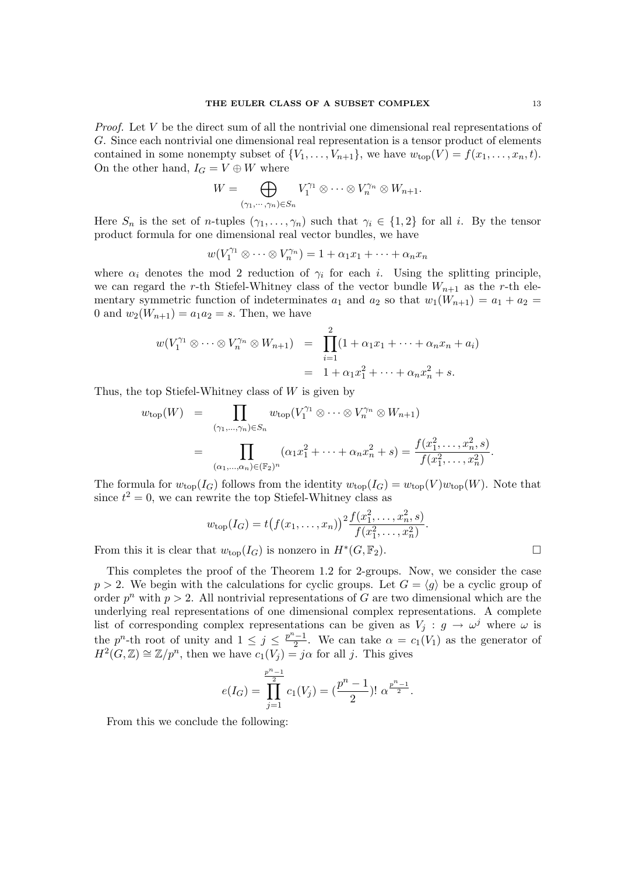*Proof.* Let V be the direct sum of all the nontrivial one dimensional real representations of G. Since each nontrivial one dimensional real representation is a tensor product of elements contained in some nonempty subset of  $\{V_1, \ldots, V_{n+1}\}$ , we have  $w_{\text{top}}(V) = f(x_1, \ldots, x_n, t)$ . On the other hand,  $I_G = V \oplus W$  where  $\overline{a}$ 

$$
W = \bigoplus_{(\gamma_1,\cdots,\gamma_n)\in S_n} V_1^{\gamma_1}\otimes\cdots\otimes V_n^{\gamma_n}\otimes W_{n+1}.
$$

Here  $S_n$  is the set of *n*-tuples  $(\gamma_1, \ldots, \gamma_n)$  such that  $\gamma_i \in \{1,2\}$  for all *i*. By the tensor product formula for one dimensional real vector bundles, we have

$$
w(V_1^{\gamma_1}\otimes\cdots\otimes V_n^{\gamma_n})=1+\alpha_1x_1+\cdots+\alpha_nx_n
$$

where  $\alpha_i$  denotes the mod 2 reduction of  $\gamma_i$  for each i. Using the splitting principle, we can regard the r-th Stiefel-Whitney class of the vector bundle  $W_{n+1}$  as the r-th elementary symmetric function of indeterminates  $a_1$  and  $a_2$  so that  $w_1(W_{n+1}) = a_1 + a_2$ 0 and  $w_2(W_{n+1}) = a_1 a_2 = s$ . Then, we have

$$
w(V_1^{\gamma_1} \otimes \cdots \otimes V_n^{\gamma_n} \otimes W_{n+1}) = \prod_{i=1}^2 (1 + \alpha_1 x_1 + \cdots + \alpha_n x_n + a_i)
$$
  
= 1 + \alpha\_1 x\_1^2 + \cdots + \alpha\_n x\_n^2 + s.

Thus, the top Stiefel-Whitney class of  $W$  is given by

$$
w_{\text{top}}(W) = \prod_{(\gamma_1, ..., \gamma_n) \in S_n} w_{\text{top}}(V_1^{\gamma_1} \otimes \cdots \otimes V_n^{\gamma_n} \otimes W_{n+1})
$$
  
= 
$$
\prod_{(\alpha_1, ..., \alpha_n) \in (\mathbb{F}_2)^n} (\alpha_1 x_1^2 + \cdots + \alpha_n x_n^2 + s) = \frac{f(x_1^2, ..., x_n^2, s)}{f(x_1^2, ..., x_n^2)}.
$$

The formula for  $w_{\text{top}}(I_G)$  follows from the identity  $w_{\text{top}}(I_G) = w_{\text{top}}(V)w_{\text{top}}(W)$ . Note that since  $t^2 = 0$ , we can rewrite the top Stiefel-Whitney class as

$$
w_{\text{top}}(I_G) = t(f(x_1, \dots, x_n))^2 \frac{f(x_1^2, \dots, x_n^2, s)}{f(x_1^2, \dots, x_n^2)}.
$$

From this it is clear that  $w_{top}(I_G)$  is nonzero in  $H^*(G, \mathbb{F}_2)$ .

This completes the proof of the Theorem 1.2 for 2-groups. Now, we consider the case  $p > 2$ . We begin with the calculations for cyclic groups. Let  $G = \langle g \rangle$  be a cyclic group of order  $p^n$  with  $p > 2$ . All nontrivial representations of G are two dimensional which are the underlying real representations of one dimensional complex representations. A complete list of corresponding complex representations can be given as  $V_j : g \to \omega^j$  where  $\omega$  is the  $p^{n}$ -th root of unity and  $1 \leq j \leq \frac{p^{n}-1}{2}$  $\frac{1}{2}$ . We can take  $\alpha = c_1(V_1)$  as the generator of  $H^2(G,\mathbb{Z}) \cong \mathbb{Z}/p^n$ , then we have  $c_1(V_j) = j\alpha$  for all j. This gives

$$
e(I_G) = \prod_{j=1}^{\frac{p^n-1}{2}} c_1(V_j) = \left(\frac{p^n-1}{2}\right)! \alpha^{\frac{p^n-1}{2}}.
$$

From this we conclude the following: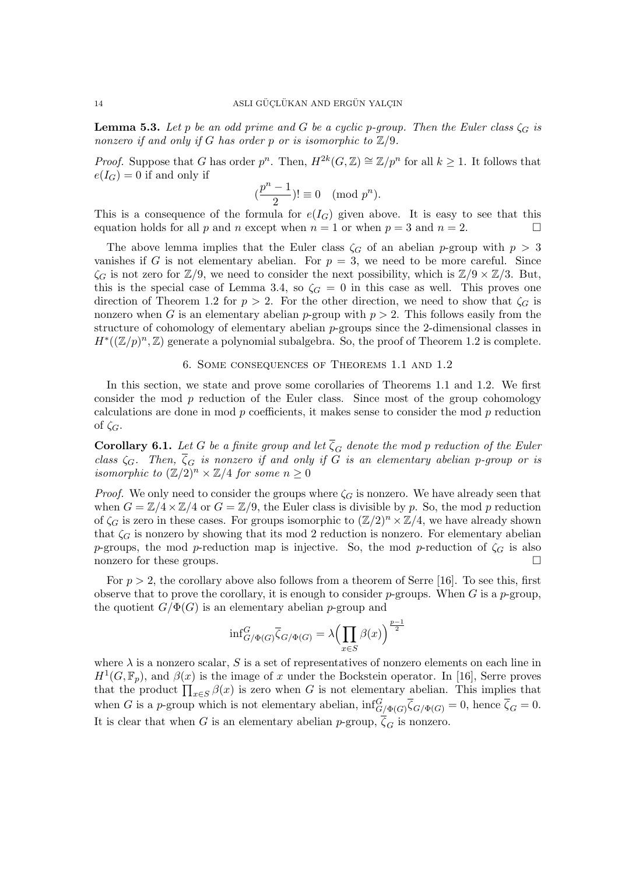**Lemma 5.3.** Let p be an odd prime and G be a cyclic p-group. Then the Euler class  $\zeta_G$  is nonzero if and only if G has order p or is isomorphic to  $\mathbb{Z}/9$ .

*Proof.* Suppose that G has order  $p^n$ . Then,  $H^{2k}(G,\mathbb{Z}) \cong \mathbb{Z}/p^n$  for all  $k \geq 1$ . It follows that  $e(I_G) = 0$  if and only if

$$
(\frac{p^n-1}{2})! \equiv 0 \pmod{p^n}.
$$

This is a consequence of the formula for  $e(I_G)$  given above. It is easy to see that this equation holds for all p and n except when  $n = 1$  or when  $p = 3$  and  $n = 2$ .

The above lemma implies that the Euler class  $\zeta_G$  of an abelian p-group with  $p > 3$ vanishes if G is not elementary abelian. For  $p = 3$ , we need to be more careful. Since  $\zeta_G$  is not zero for  $\mathbb{Z}/9$ , we need to consider the next possibility, which is  $\mathbb{Z}/9 \times \mathbb{Z}/3$ . But, this is the special case of Lemma 3.4, so  $\zeta_G = 0$  in this case as well. This proves one direction of Theorem 1.2 for  $p > 2$ . For the other direction, we need to show that  $\zeta_G$  is nonzero when G is an elementary abelian p-group with  $p > 2$ . This follows easily from the structure of cohomology of elementary abelian  $p$ -groups since the 2-dimensional classes in  $H^*((\mathbb{Z}/p)^n, \mathbb{Z})$  generate a polynomial subalgebra. So, the proof of Theorem 1.2 is complete.

# 6. Some consequences of Theorems 1.1 and 1.2

In this section, we state and prove some corollaries of Theorems 1.1 and 1.2. We first consider the mod  $p$  reduction of the Euler class. Since most of the group cohomology calculations are done in mod  $p$  coefficients, it makes sense to consider the mod  $p$  reduction of  $\zeta_G$ .

**Corollary 6.1.** Let G be a finite group and let  $\overline{\zeta}_G$  denote the mod p reduction of the Euler class  $\zeta_G$ . Then,  $\overline{\zeta}_G$  is nonzero if and only if G is an elementary abelian p-group or is isomorphic to  $(\mathbb{Z}/2)^n \times \mathbb{Z}/4$  for some  $n \geq 0$ 

*Proof.* We only need to consider the groups where  $\zeta_G$  is nonzero. We have already seen that when  $G = \mathbb{Z}/4 \times \mathbb{Z}/4$  or  $G = \mathbb{Z}/9$ , the Euler class is divisible by p. So, the mod p reduction of  $\zeta_G$  is zero in these cases. For groups isomorphic to  $(\mathbb{Z}/2)^n \times \mathbb{Z}/4$ , we have already shown that  $\zeta_G$  is nonzero by showing that its mod 2 reduction is nonzero. For elementary abelian p-groups, the mod p-reduction map is injective. So, the mod p-reduction of  $\zeta_G$  is also nonzero for these groups.  $\Box$ 

For  $p > 2$ , the corollary above also follows from a theorem of Serre [16]. To see this, first observe that to prove the corollary, it is enough to consider p-groups. When G is a p-group, the quotient  $G/\Phi(G)$  is an elementary abelian p-group and

$$
\textup{inf}_{G/\Phi(G)}^G \overline{\zeta}_{G/\Phi(G)} = \lambda \Bigl(\prod_{x \in S} \beta(x)\Bigr)^{\frac{p-1}{2}}
$$

where  $\lambda$  is a nonzero scalar, S is a set of representatives of nonzero elements on each line in  $H^1(G,\mathbb{F}_p)$ , and  $\beta(x)$  is the image of x under the Bockstein operator. In [16], Serre proves  $H^-(G, \mathbb{F}_p)$ , and  $\rho(x)$  is the image of x under the Bockstein operator. In [10], Serre proves that the product  $\prod_{x \in S} \beta(x)$  is zero when G is not elementary abelian. This implies that when G is a p-group which is not elementary abelian,  $\inf_{G/\Phi(G)}^G \overline{\zeta}_{G/\Phi(G)} = 0$ , hence  $\overline{\zeta}_G = 0$ . It is clear that when G is an elementary abelian p-group,  $\overline{\zeta}_G$  is nonzero.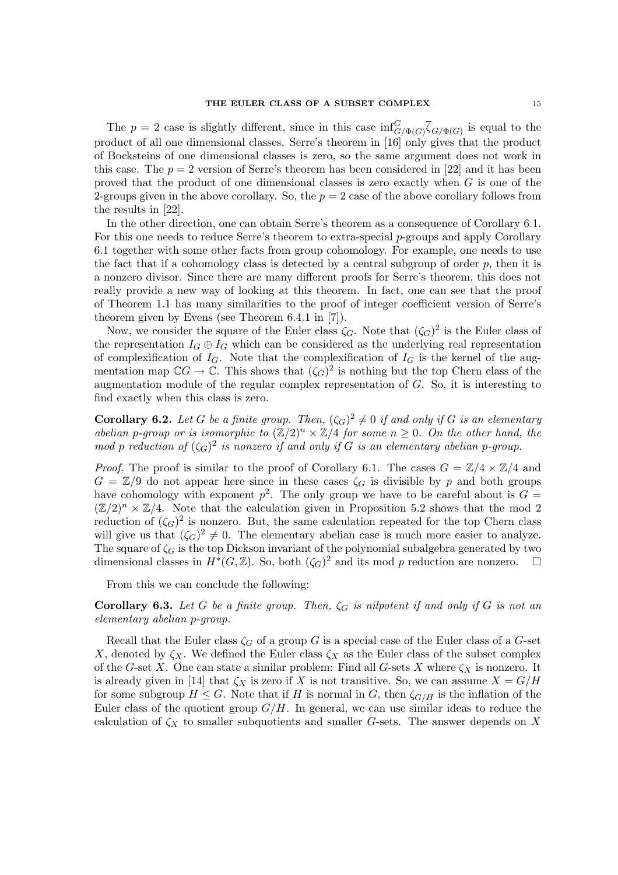The  $p = 2$  case is slightly different, since in this case  $\inf_{G/\Phi(G)}^G \overline{\zeta}_{G/\Phi(G)}$  is equal to the product of all one dimensional classes. Serre's theorem in [16] only gives that the product of Bocksteins of one dimensional classes is zero, so the same argument does not work in this case. The  $p = 2$  version of Serre's theorem has been considered in [22] and it has been proved that the product of one dimensional classes is zero exactly when  $G$  is one of the 2-groups given in the above corollary. So, the  $p = 2$  case of the above corollary follows from the results in [22].

In the other direction, one can obtain Serre's theorem as a consequence of Corollary 6.1. For this one needs to reduce Serre's theorem to extra-special p-groups and apply Corollary 6.1 together with some other facts from group cohomology. For example, one needs to use the fact that if a cohomology class is detected by a central subgroup of order  $p$ , then it is a nonzero divisor. Since there are many different proofs for Serre's theorem, this does not really provide a new way of looking at this theorem. In fact, one can see that the proof of Theorem 1.1 has many similarities to the proof of integer coefficient version of Serre's theorem given by Evens (see Theorem 6.4.1 in [7]).

Now, we consider the square of the Euler class  $\zeta_G$ . Note that  $(\zeta_G)^2$  is the Euler class of the representation  $I_G \oplus I_G$  which can be considered as the underlying real representation of complexification of  $I_G$ . Note that the complexification of  $I_G$  is the kernel of the augmentation map  $\mathbb{C}G \to \mathbb{C}$ . This shows that  $(\zeta_G)^2$  is nothing but the top Chern class of the augmentation module of the regular complex representation of G. So, it is interesting to find exactly when this class is zero.

**Corollary 6.2.** Let G be a finite group. Then,  $(\zeta_G)^2 \neq 0$  if and only if G is an elementary abelian p-group or is isomorphic to  $(\mathbb{Z}/2)^n \times \mathbb{Z}/4$  for some  $n \geq 0$ . On the other hand, the mod p reduction of  $(\zeta_G)^2$  is nonzero if and only if G is an elementary abelian p-group.

*Proof.* The proof is similar to the proof of Corollary 6.1. The cases  $G = \mathbb{Z}/4 \times \mathbb{Z}/4$  and  $G = \mathbb{Z}/9$  do not appear here since in these cases  $\zeta_G$  is divisible by p and both groups have cohomology with exponent  $p^2$ . The only group we have to be careful about is  $G =$  $(\mathbb{Z}/2)^n \times \mathbb{Z}/4$ . Note that the calculation given in Proposition 5.2 shows that the mod 2 reduction of  $(\zeta_G)^2$  is nonzero. But, the same calculation repeated for the top Chern class will give us that  $({\zeta}_G)^2 \neq 0$ . The elementary abelian case is much more easier to analyze. The square of  $\zeta_G$  is the top Dickson invariant of the polynomial subalgebra generated by two dimensional classes in  $H^*(G, \mathbb{Z})$ . So, both  $(\zeta_G)^2$  and its mod p reduction are nonzero.  $\Box$ 

From this we can conclude the following:

# **Corollary 6.3.** Let G be a finite group. Then,  $\zeta_G$  is nilpotent if and only if G is not an elementary abelian p-group.

Recall that the Euler class  $\zeta_G$  of a group G is a special case of the Euler class of a G-set X, denoted by  $\zeta_X$ . We defined the Euler class  $\zeta_X$  as the Euler class of the subset complex of the G-set X. One can state a similar problem: Find all G-sets X where  $\zeta_X$  is nonzero. It is already given in [14] that  $\zeta_X$  is zero if X is not transitive. So, we can assume  $X = G/H$ for some subgroup  $H \leq G$ . Note that if H is normal in G, then  $\zeta_{G/H}$  is the inflation of the Euler class of the quotient group  $G/H$ . In general, we can use similar ideas to reduce the calculation of  $\zeta_X$  to smaller subquotients and smaller G-sets. The answer depends on X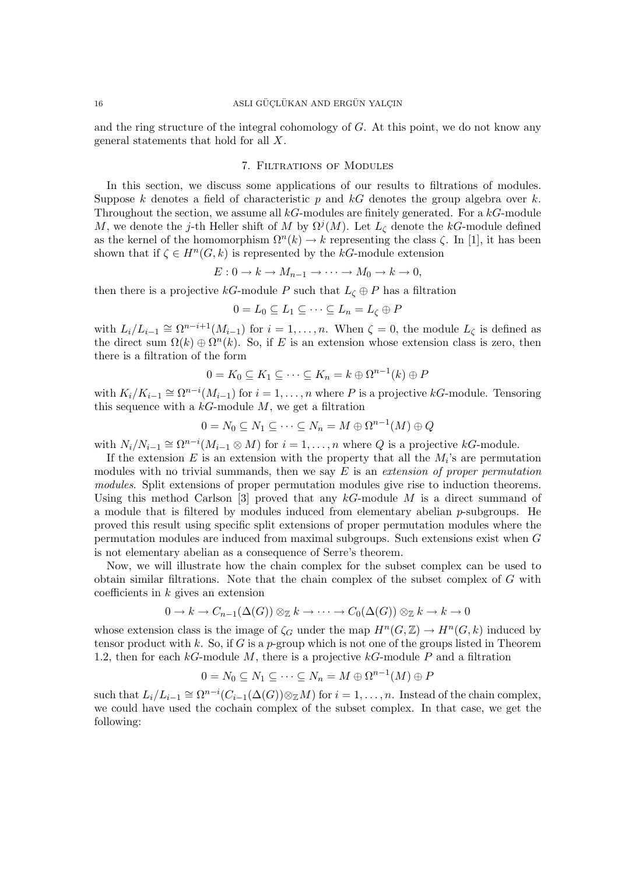and the ring structure of the integral cohomology of  $G$ . At this point, we do not know any general statements that hold for all X.

## 7. Filtrations of Modules

In this section, we discuss some applications of our results to filtrations of modules. Suppose k denotes a field of characteristic  $p$  and  $kG$  denotes the group algebra over k. Throughout the section, we assume all  $k\text{-}\text{modules}$  are finitely generated. For a  $k\text{-}\text{module}$ M, we denote the j-th Heller shift of M by  $\Omega^{j}(M)$ . Let  $L_{\zeta}$  denote the kG-module defined as the kernel of the homomorphism  $\Omega^n(k) \to k$  representing the class  $\zeta$ . In [1], it has been shown that if  $\zeta \in H^n(G, k)$  is represented by the kG-module extension

$$
E: 0 \to k \to M_{n-1} \to \cdots \to M_0 \to k \to 0,
$$

then there is a projective kG-module P such that  $L_{\zeta} \oplus P$  has a filtration

$$
0 = L_0 \subseteq L_1 \subseteq \cdots \subseteq L_n = L_\zeta \oplus P
$$

with  $L_i/L_{i-1} \cong \Omega^{n-i+1}(M_{i-1})$  for  $i = 1, \ldots, n$ . When  $\zeta = 0$ , the module  $L_{\zeta}$  is defined as the direct sum  $\Omega(k) \oplus \Omega^{n}(k)$ . So, if E is an extension whose extension class is zero, then there is a filtration of the form

$$
0 = K_0 \subseteq K_1 \subseteq \cdots \subseteq K_n = k \oplus \Omega^{n-1}(k) \oplus P
$$

with  $K_i/K_{i-1} \cong \Omega^{n-i}(M_{i-1})$  for  $i = 1, \ldots, n$  where P is a projective kG-module. Tensoring this sequence with a  $kG$ -module  $M$ , we get a filtration

$$
0 = N_0 \subseteq N_1 \subseteq \cdots \subseteq N_n = M \oplus \Omega^{n-1}(M) \oplus Q
$$

with  $N_i/N_{i-1} \cong \Omega^{n-i}(M_{i-1} \otimes M)$  for  $i = 1, ..., n$  where Q is a projective kG-module.

If the extension  $E$  is an extension with the property that all the  $M_i$ 's are permutation modules with no trivial summands, then we say  $E$  is an extension of proper permutation modules. Split extensions of proper permutation modules give rise to induction theorems. Using this method Carlson [3] proved that any  $k$ -module M is a direct summand of a module that is filtered by modules induced from elementary abelian  $p$ -subgroups. He proved this result using specific split extensions of proper permutation modules where the permutation modules are induced from maximal subgroups. Such extensions exist when G is not elementary abelian as a consequence of Serre's theorem.

Now, we will illustrate how the chain complex for the subset complex can be used to obtain similar filtrations. Note that the chain complex of the subset complex of G with coefficients in  $k$  gives an extension

$$
0 \to k \to C_{n-1}(\Delta(G)) \otimes_{\mathbb{Z}} k \to \cdots \to C_0(\Delta(G)) \otimes_{\mathbb{Z}} k \to k \to 0
$$

whose extension class is the image of  $\zeta_G$  under the map  $H^n(G,\mathbb{Z}) \to H^n(G,k)$  induced by tensor product with k. So, if G is a p-group which is not one of the groups listed in Theorem 1.2, then for each  $kG$ -module M, there is a projective  $kG$ -module P and a filtration

$$
0 = N_0 \subseteq N_1 \subseteq \cdots \subseteq N_n = M \oplus \Omega^{n-1}(M) \oplus P
$$

such that  $L_i/L_{i-1} \cong \Omega^{n-i}(C_{i-1}(\Delta(G)) \otimes_{\mathbb{Z}} M)$  for  $i = 1, \ldots, n$ . Instead of the chain complex, we could have used the cochain complex of the subset complex. In that case, we get the following: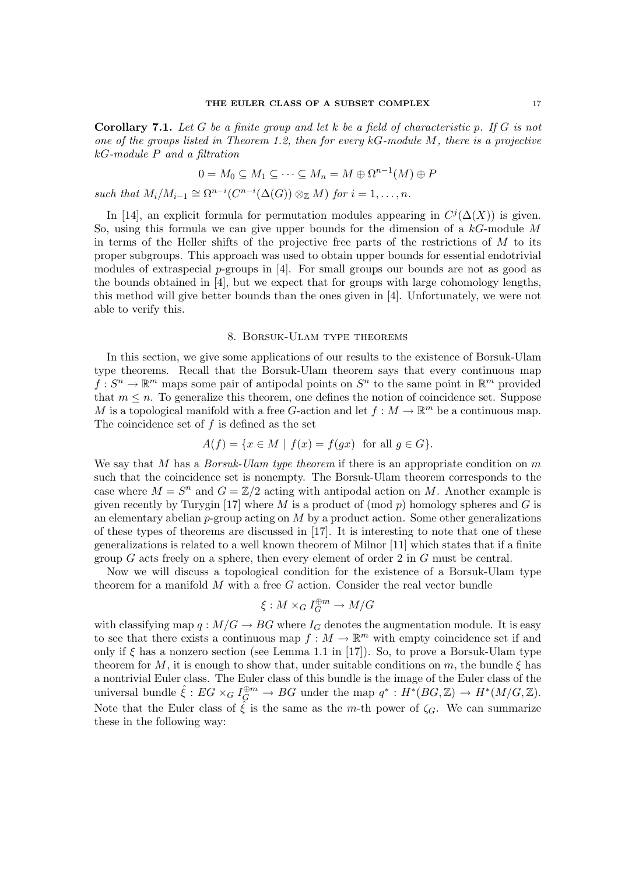**Corollary 7.1.** Let G be a finite group and let k be a field of characteristic p. If G is not one of the groups listed in Theorem 1.2, then for every  $kG$ -module M, there is a projective kG-module P and a filtration

$$
0 = M_0 \subseteq M_1 \subseteq \cdots \subseteq M_n = M \oplus \Omega^{n-1}(M) \oplus P
$$

such that  $M_i/M_{i-1} \cong \Omega^{n-i}(C^{n-i}(\Delta(G)) \otimes_{\mathbb{Z}} M)$  for  $i = 1, ..., n$ .

In [14], an explicit formula for permutation modules appearing in  $C<sup>j</sup>(\Delta(X))$  is given. So, using this formula we can give upper bounds for the dimension of a  $k$ -module M in terms of the Heller shifts of the projective free parts of the restrictions of  $M$  to its proper subgroups. This approach was used to obtain upper bounds for essential endotrivial modules of extraspecial p-groups in [4]. For small groups our bounds are not as good as the bounds obtained in [4], but we expect that for groups with large cohomology lengths, this method will give better bounds than the ones given in [4]. Unfortunately, we were not able to verify this.

# 8. Borsuk-Ulam type theorems

In this section, we give some applications of our results to the existence of Borsuk-Ulam type theorems. Recall that the Borsuk-Ulam theorem says that every continuous map  $f: S^n \to \mathbb{R}^m$  maps some pair of antipodal points on  $S^n$  to the same point in  $\mathbb{R}^m$  provided that  $m \leq n$ . To generalize this theorem, one defines the notion of coincidence set. Suppose M is a topological manifold with a free G-action and let  $f : M \to \mathbb{R}^m$  be a continuous map. The coincidence set of  $f$  is defined as the set

$$
A(f) = \{ x \in M \mid f(x) = f(gx) \text{ for all } g \in G \}.
$$

We say that M has a *Borsuk-Ulam type theorem* if there is an appropriate condition on m such that the coincidence set is nonempty. The Borsuk-Ulam theorem corresponds to the case where  $M = S^n$  and  $G = \mathbb{Z}/2$  acting with antipodal action on M. Another example is given recently by Turygin [17] where M is a product of (mod  $p$ ) homology spheres and G is an elementary abelian  $p$ -group acting on M by a product action. Some other generalizations of these types of theorems are discussed in [17]. It is interesting to note that one of these generalizations is related to a well known theorem of Milnor [11] which states that if a finite group G acts freely on a sphere, then every element of order 2 in G must be central.

Now we will discuss a topological condition for the existence of a Borsuk-Ulam type theorem for a manifold  $M$  with a free  $G$  action. Consider the real vector bundle

$$
\xi:M\times_G I_G^{\oplus m}\to M/G
$$

with classifying map  $q: M/G \to BG$  where  $I_G$  denotes the augmentation module. It is easy to see that there exists a continuous map  $f: M \to \mathbb{R}^m$  with empty coincidence set if and only if  $\xi$  has a nonzero section (see Lemma 1.1 in [17]). So, to prove a Borsuk-Ulam type theorem for M, it is enough to show that, under suitable conditions on m, the bundle  $\xi$  has a nontrivial Euler class. The Euler class of this bundle is the image of the Euler class of the universal bundle  $\hat{\xi}: EG \times_G I_G^{\oplus m} \to BG$  under the map  $q^*: H^*(BG, \mathbb{Z}) \to H^*(M/G, \mathbb{Z})$ . Note that the Euler class of  $\zeta$  is the same as the m-th power of  $\zeta_G$ . We can summarize these in the following way: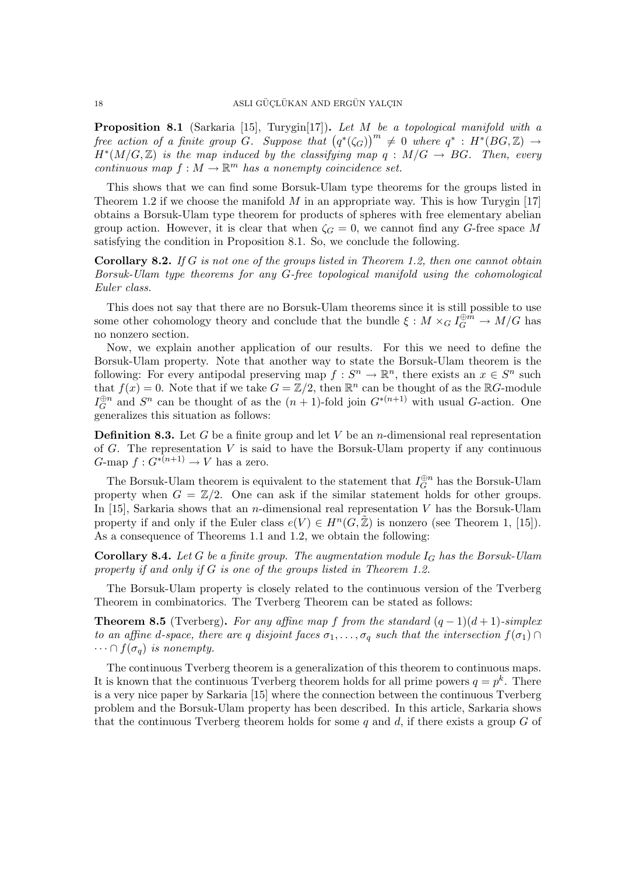Proposition 8.1 (Sarkaria [15], Turygin[17]). Let M be a topological manifold with a **Proposition 8.1** (Sarkaria [15], Turygin[17]). Let M be a topological manifold with a<br>free action of a finite group G. Suppose that  $(q^*(\zeta_G))^m \neq 0$  where  $q^*: H^*(BG, \mathbb{Z}) \rightarrow$  $H^*(M/G, \mathbb{Z})$  is the map induced by the classifying map  $q : M/G \rightarrow BG$ . Then, every continuous map  $f : M \to \mathbb{R}^m$  has a nonempty coincidence set.

This shows that we can find some Borsuk-Ulam type theorems for the groups listed in Theorem 1.2 if we choose the manifold  $M$  in an appropriate way. This is how Turygin [17] obtains a Borsuk-Ulam type theorem for products of spheres with free elementary abelian group action. However, it is clear that when  $\zeta_G = 0$ , we cannot find any G-free space M satisfying the condition in Proposition 8.1. So, we conclude the following.

**Corollary 8.2.** If G is not one of the groups listed in Theorem 1.2, then one cannot obtain Borsuk-Ulam type theorems for any G-free topological manifold using the cohomological Euler class.

This does not say that there are no Borsuk-Ulam theorems since it is still possible to use some other cohomology theory and conclude that the bundle  $\xi : M \times_G I_G^{\oplus m} \to M/G$  has no nonzero section.

Now, we explain another application of our results. For this we need to define the Borsuk-Ulam property. Note that another way to state the Borsuk-Ulam theorem is the following: For every antipodal preserving map  $f: S^n \to \mathbb{R}^n$ , there exists an  $x \in S^n$  such that  $f(x) = 0$ . Note that if we take  $G = \mathbb{Z}/2$ , then  $\mathbb{R}^n$  can be thought of as the  $\mathbb{R}G$ -module  $I_C^{\oplus n}$  $\mathbb{G}^n$  and  $S^n$  can be thought of as the  $(n + 1)$ -fold join  $G^{*(n+1)}$  with usual G-action. One generalizes this situation as follows:

**Definition 8.3.** Let G be a finite group and let V be an *n*-dimensional real representation of G. The representation V is said to have the Borsuk-Ulam property if any continuous  $G$ -map  $f: G^{*(n+1)} \to V$  has a zero.

The Borsuk-Ulam theorem is equivalent to the statement that  $I_C^{\oplus n}$  $\mathcal{G}^n$  has the Borsuk-Ulam property when  $G = \mathbb{Z}/2$ . One can ask if the similar statement holds for other groups. In [15], Sarkaria shows that an *n*-dimensional real representation  $V$  has the Borsuk-Ulam property if and only if the Euler class  $e(V) \in H^n(G, \mathbb{Z})$  is nonzero (see Theorem 1, [15]). As a consequence of Theorems 1.1 and 1.2, we obtain the following:

**Corollary 8.4.** Let G be a finite group. The augmentation module  $I_G$  has the Borsuk-Ulam property if and only if G is one of the groups listed in Theorem 1.2.

The Borsuk-Ulam property is closely related to the continuous version of the Tverberg Theorem in combinatorics. The Tverberg Theorem can be stated as follows:

**Theorem 8.5** (Tverberg). For any affine map f from the standard  $(q-1)(d+1)$ -simplex to an affine d-space, there are q disjoint faces  $\sigma_1, \ldots, \sigma_q$  such that the intersection  $f(\sigma_1) \cap$  $\cdots \cap f(\sigma_q)$  is nonempty.

The continuous Tverberg theorem is a generalization of this theorem to continuous maps. It is known that the continuous Tverberg theorem holds for all prime powers  $q = p^k$ . There is a very nice paper by Sarkaria [15] where the connection between the continuous Tverberg problem and the Borsuk-Ulam property has been described. In this article, Sarkaria shows that the continuous Tverberg theorem holds for some  $q$  and  $d$ , if there exists a group  $G$  of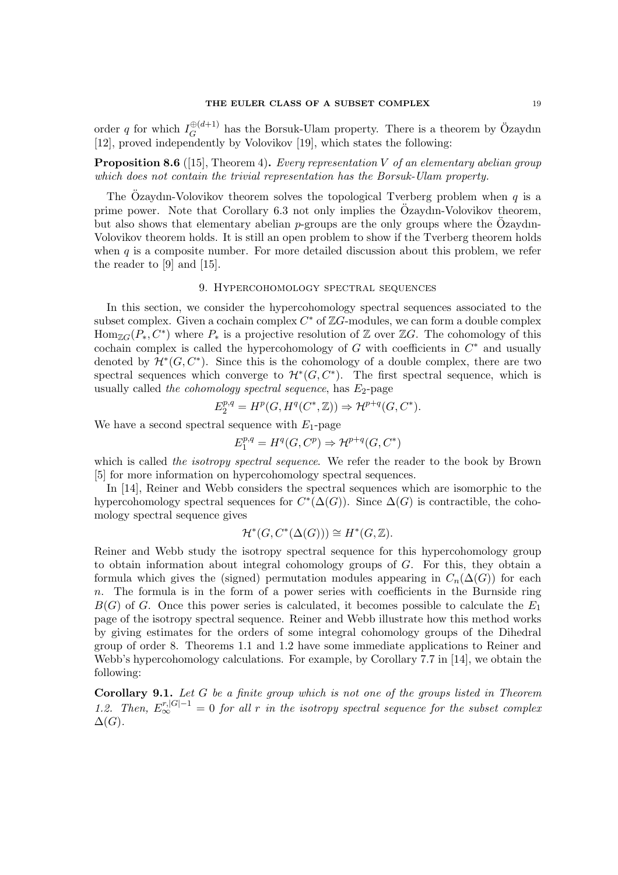order q for which  $I_G^{\oplus (d+1)}$  $\mathcal{L}_G^{(d+1)}$  has the Borsuk-Ulam property. There is a theorem by Özaydın [12], proved independently by Volovikov [19], which states the following:

**Proposition 8.6** ([15], Theorem 4). Every representation V of an elementary abelian group which does not contain the trivial representation has the Borsuk-Ulam property.

The Özaydın-Volovikov theorem solves the topological Tverberg problem when  $q$  is a prime power. Note that Corollary 6.3 not only implies the Ozaydın-Volovikov theorem, but also shows that elementary abelian p-groups are the only groups where the  $\ddot{O}z$  avenues Volovikov theorem holds. It is still an open problem to show if the Tverberg theorem holds when  $q$  is a composite number. For more detailed discussion about this problem, we refer the reader to [9] and [15].

### 9. Hypercohomology spectral sequences

In this section, we consider the hypercohomology spectral sequences associated to the subset complex. Given a cochain complex  $C^*$  of  $\mathbb{Z}G$ -modules, we can form a double complex  $\text{Hom}_{\mathbb{Z}G}(P_*, C^*)$  where  $P_*$  is a projective resolution of  $\mathbb Z$  over  $\mathbb ZG$ . The cohomology of this cochain complex is called the hypercohomology of  $G$  with coefficients in  $C^*$  and usually denoted by  $\mathcal{H}^*(G, C^*)$ . Since this is the cohomology of a double complex, there are two spectral sequences which converge to  $\mathcal{H}^*(G, C^*)$ . The first spectral sequence, which is usually called the cohomology spectral sequence, has  $E_2$ -page

$$
E_2^{p,q} = H^p(G, H^q(C^*, \mathbb{Z})) \Rightarrow \mathcal{H}^{p+q}(G, C^*).
$$

We have a second spectral sequence with  $E_1$ -page

$$
E_1^{p,q}=H^q(G,C^p)\Rightarrow \mathcal{H}^{p+q}(G,C^*)
$$

which is called the isotropy spectral sequence. We refer the reader to the book by Brown [5] for more information on hypercohomology spectral sequences.

In [14], Reiner and Webb considers the spectral sequences which are isomorphic to the hypercohomology spectral sequences for  $C^*(\Delta(G))$ . Since  $\Delta(G)$  is contractible, the cohomology spectral sequence gives

$$
\mathcal{H}^*(G, C^*(\Delta(G))) \cong H^*(G, \mathbb{Z}).
$$

Reiner and Webb study the isotropy spectral sequence for this hypercohomology group to obtain information about integral cohomology groups of  $G$ . For this, they obtain a formula which gives the (signed) permutation modules appearing in  $C_n(\Delta(G))$  for each  $n$ . The formula is in the form of a power series with coefficients in the Burnside ring  $B(G)$  of G. Once this power series is calculated, it becomes possible to calculate the  $E_1$ page of the isotropy spectral sequence. Reiner and Webb illustrate how this method works by giving estimates for the orders of some integral cohomology groups of the Dihedral group of order 8. Theorems 1.1 and 1.2 have some immediate applications to Reiner and Webb's hypercohomology calculations. For example, by Corollary 7.7 in [14], we obtain the following:

**Corollary 9.1.** Let G be a finite group which is not one of the groups listed in Theorem 1.2. Then,  $E_{\infty}^{r, |G|-1} = 0$  for all r in the isotropy spectral sequence for the subset complex  $\Delta(G)$ .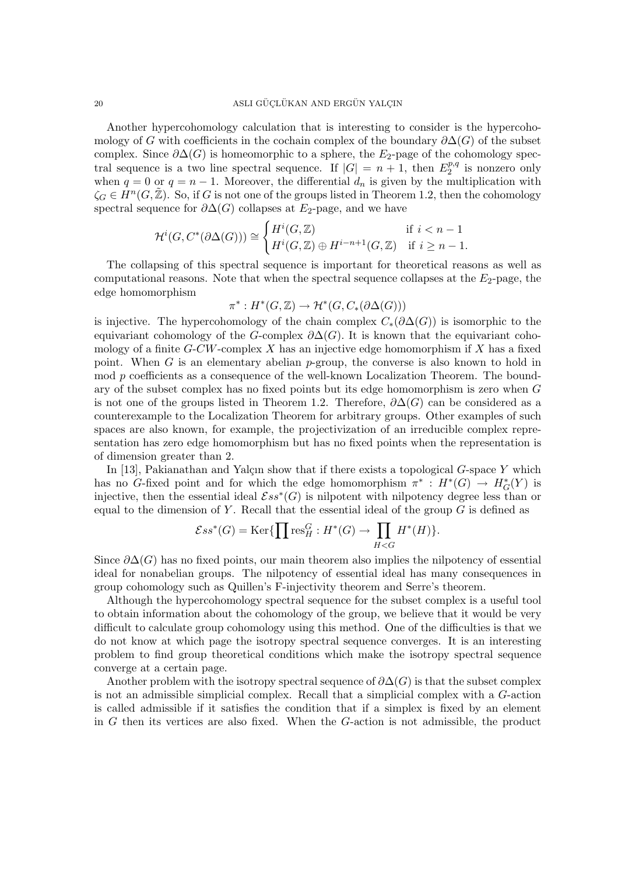Another hypercohomology calculation that is interesting to consider is the hypercohomology of G with coefficients in the cochain complex of the boundary  $\partial \Delta(G)$  of the subset complex. Since  $\partial \Delta(G)$  is homeomorphic to a sphere, the E<sub>2</sub>-page of the cohomology spectral sequence is a two line spectral sequence. If  $|G| = n + 1$ , then  $E_2^{p,q}$  $_2^{p,q}$  is nonzero only when  $q = 0$  or  $q = n - 1$ . Moreover, the differential  $d_n$  is given by the multiplication with  $\zeta_G \in \mathring{H}^n(G, \tilde{\mathbb{Z}})$ . So, if G is not one of the groups listed in Theorem 1.2, then the cohomology spectral sequence for  $\partial \Delta(G)$  collapses at E<sub>2</sub>-page, and we have

$$
\mathcal{H}^i(G, C^*(\partial \Delta(G))) \cong \begin{cases} H^i(G, \mathbb{Z}) & \text{if } i < n - 1 \\ H^i(G, \mathbb{Z}) \oplus H^{i - n + 1}(G, \mathbb{Z}) & \text{if } i \ge n - 1. \end{cases}
$$

The collapsing of this spectral sequence is important for theoretical reasons as well as computational reasons. Note that when the spectral sequence collapses at the  $E_2$ -page, the edge homomorphism

$$
\pi^*: H^*(G,\mathbb{Z}) \to \mathcal{H}^*(G,C_*(\partial \Delta(G)))
$$

is injective. The hypercohomology of the chain complex  $C_*(\partial \Delta(G))$  is isomorphic to the equivariant cohomology of the G-complex  $\partial \Delta(G)$ . It is known that the equivariant cohomology of a finite  $G-CW$ -complex X has an injective edge homomorphism if X has a fixed point. When  $G$  is an elementary abelian  $p$ -group, the converse is also known to hold in mod p coefficients as a consequence of the well-known Localization Theorem. The boundary of the subset complex has no fixed points but its edge homomorphism is zero when G is not one of the groups listed in Theorem 1.2. Therefore,  $\partial \Delta(G)$  can be considered as a counterexample to the Localization Theorem for arbitrary groups. Other examples of such spaces are also known, for example, the projectivization of an irreducible complex representation has zero edge homomorphism but has no fixed points when the representation is of dimension greater than 2.

In [13], Pakianathan and Yalçın show that if there exists a topological  $G$ -space Y which has no G-fixed point and for which the edge homomorphism  $\pi^* : H^*(G) \to H^*_G(Y)$  is injective, then the essential ideal  $\mathcal{E}ss^*(G)$  is nilpotent with nilpotency degree less than or equal to the dimension of Y. Recall that the essential ideal of the group  $G$  is defined as

$$
\mathcal{E}ss^*(G) = \text{Ker}\{\prod \text{res}_H^G : H^*(G) \to \prod_{H < G} H^*(H)\}.
$$

Since  $\partial \Delta(G)$  has no fixed points, our main theorem also implies the nilpotency of essential ideal for nonabelian groups. The nilpotency of essential ideal has many consequences in group cohomology such as Quillen's F-injectivity theorem and Serre's theorem.

Although the hypercohomology spectral sequence for the subset complex is a useful tool to obtain information about the cohomology of the group, we believe that it would be very difficult to calculate group cohomology using this method. One of the difficulties is that we do not know at which page the isotropy spectral sequence converges. It is an interesting problem to find group theoretical conditions which make the isotropy spectral sequence converge at a certain page.

Another problem with the isotropy spectral sequence of  $\partial \Delta(G)$  is that the subset complex is not an admissible simplicial complex. Recall that a simplicial complex with a G-action is called admissible if it satisfies the condition that if a simplex is fixed by an element in G then its vertices are also fixed. When the G-action is not admissible, the product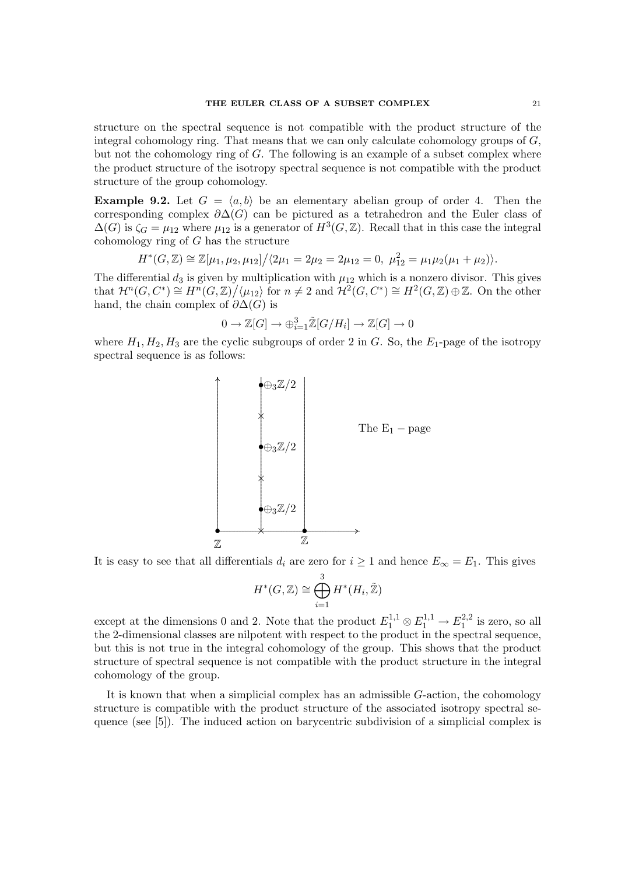structure on the spectral sequence is not compatible with the product structure of the integral cohomology ring. That means that we can only calculate cohomology groups of  $G$ , but not the cohomology ring of  $G$ . The following is an example of a subset complex where the product structure of the isotropy spectral sequence is not compatible with the product structure of the group cohomology.

**Example 9.2.** Let  $G = \langle a, b \rangle$  be an elementary abelian group of order 4. Then the corresponding complex  $\partial \Delta(G)$  can be pictured as a tetrahedron and the Euler class of  $\Delta(G)$  is  $\zeta_G = \mu_{12}$  where  $\mu_{12}$  is a generator of  $H^3(G, \mathbb{Z})$ . Recall that in this case the integral cohomology ring of G has the structure

$$
H^*(G,\mathbb{Z}) \cong \mathbb{Z}[\mu_1,\mu_2,\mu_{12}]/\langle 2\mu_1 = 2\mu_2 = 2\mu_{12} = 0, \ \mu_{12}^2 = \mu_1\mu_2(\mu_1+\mu_2)\rangle.
$$

The differential  $d_3$  is given by multiplication with  $\mu_{12}$  which is a nonzero divisor. This gives that  $\mathcal{H}^n(G, C^*) \cong H^{\overline{n}}(G, \mathbb{Z}) / \langle \mu_{12} \rangle$  for  $n \neq 2$  and  $\mathcal{H}^2(G, C^*) \cong H^2(G, \mathbb{Z}) \oplus \mathbb{Z}$ . On the other hand, the chain complex of  $\partial \Delta(G)$  is

$$
0 \to \mathbb{Z}[G] \to \bigoplus_{i=1}^3 \tilde{\mathbb{Z}}[G/H_i] \to \mathbb{Z}[G] \to 0
$$

where  $H_1, H_2, H_3$  are the cyclic subgroups of order 2 in G. So, the  $E_1$ -page of the isotropy spectral sequence is as follows:



It is easy to see that all differentials  $d_i$  are zero for  $i \geq 1$  and hence  $E_{\infty} = E_1$ . This gives

$$
H^*(G,\mathbb{Z}) \cong \bigoplus_{i=1}^3 H^*(H_i,\tilde{\mathbb{Z}})
$$

except at the dimensions 0 and 2. Note that the product  $E_1^{1,1} \otimes E_1^{1,1} \to E_1^{2,2}$  $i_1^{2,2}$  is zero, so all the 2-dimensional classes are nilpotent with respect to the product in the spectral sequence, but this is not true in the integral cohomology of the group. This shows that the product structure of spectral sequence is not compatible with the product structure in the integral cohomology of the group.

It is known that when a simplicial complex has an admissible G-action, the cohomology structure is compatible with the product structure of the associated isotropy spectral sequence (see [5]). The induced action on barycentric subdivision of a simplicial complex is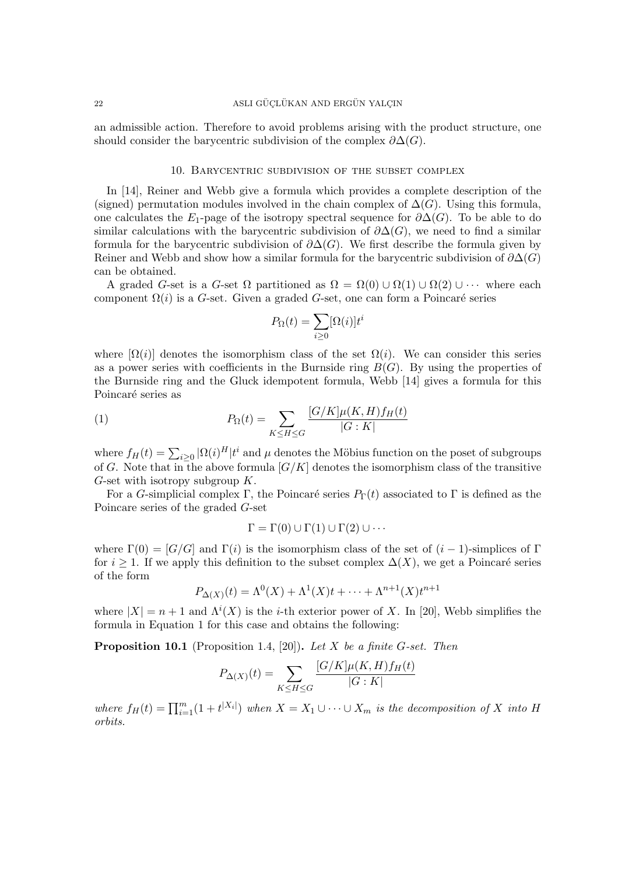an admissible action. Therefore to avoid problems arising with the product structure, one should consider the barycentric subdivision of the complex  $\partial \Delta(G)$ .

#### 10. Barycentric subdivision of the subset complex

In [14], Reiner and Webb give a formula which provides a complete description of the (signed) permutation modules involved in the chain complex of  $\Delta(G)$ . Using this formula, one calculates the  $E_1$ -page of the isotropy spectral sequence for  $\partial \Delta(G)$ . To be able to do similar calculations with the barycentric subdivision of  $\partial \Delta(G)$ , we need to find a similar formula for the barycentric subdivision of  $\partial \Delta(G)$ . We first describe the formula given by Reiner and Webb and show how a similar formula for the barycentric subdivision of  $\partial \Delta(G)$ can be obtained.

A graded G-set is a G-set  $\Omega$  partitioned as  $\Omega = \Omega(0) \cup \Omega(1) \cup \Omega(2) \cup \cdots$  where each component  $\Omega(i)$  is a G-set. Given a graded G-set, one can form a Poincaré series

$$
P_{\Omega}(t) = \sum_{i \ge 0} [\Omega(i)] t^i
$$

where  $[\Omega(i)]$  denotes the isomorphism class of the set  $\Omega(i)$ . We can consider this series as a power series with coefficients in the Burnside ring  $B(G)$ . By using the properties of the Burnside ring and the Gluck idempotent formula, Webb [14] gives a formula for this Poincaré series as

(1) 
$$
P_{\Omega}(t) = \sum_{K \le H \le G} \frac{[G/K]\mu(K,H)f_H(t)}{|G:K|}
$$

where  $f_H(t) = \sum_{i \geq 0} |\Omega(i)^H| t^i$  and  $\mu$  denotes the Möbius function on the poset of subgroups of G. Note that in the above formula  $[G/K]$  denotes the isomorphism class of the transitive G-set with isotropy subgroup  $K$ .

For a G-simplicial complex Γ, the Poincaré series  $P_{\Gamma}(t)$  associated to Γ is defined as the Poincare series of the graded G-set

$$
\Gamma = \Gamma(0) \cup \Gamma(1) \cup \Gamma(2) \cup \cdots
$$

where  $\Gamma(0) = [G/G]$  and  $\Gamma(i)$  is the isomorphism class of the set of  $(i-1)$ -simplices of  $\Gamma$ for  $i \geq 1$ . If we apply this definition to the subset complex  $\Delta(X)$ , we get a Poincaré series of the form

$$
P_{\Delta(X)}(t) = \Lambda^0(X) + \Lambda^1(X)t + \dots + \Lambda^{n+1}(X)t^{n+1}
$$

where  $|X| = n + 1$  and  $\Lambda^{i}(X)$  is the *i*-th exterior power of X. In [20], Webb simplifies the formula in Equation 1 for this case and obtains the following:

**Proposition 10.1** (Proposition 1.4, [20]). Let X be a finite G-set. Then

$$
P_{\Delta(X)}(t) = \sum_{K \leq H \leq G} \frac{[G/K]\mu(K,H)f_H(t)}{|G:K|}
$$

where  $f_H(t) = \prod_{i=1}^m (1 + t^{|X_i|})$  when  $X = X_1 \cup \cdots \cup X_m$  is the decomposition of X into H orbits.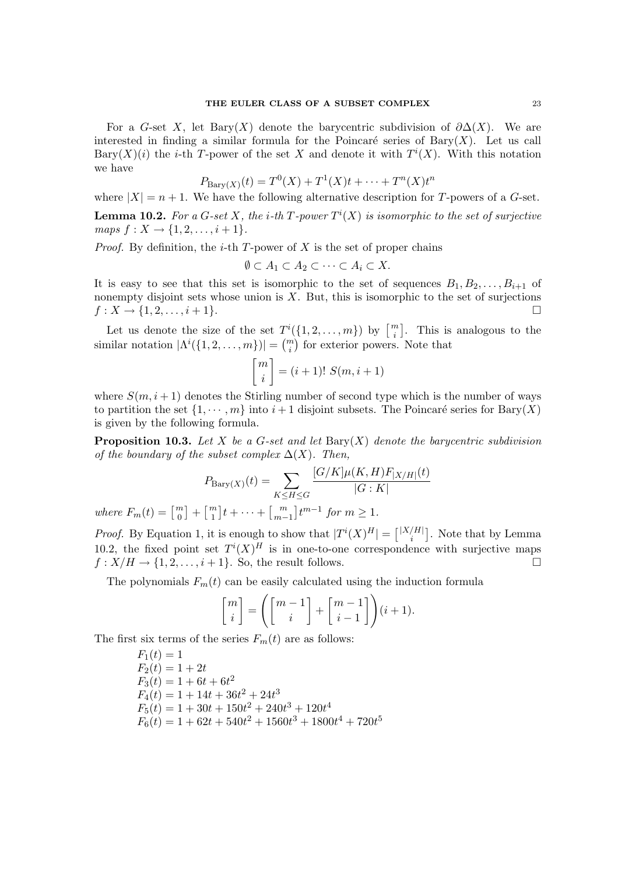For a G-set X, let Bary(X) denote the barycentric subdivision of  $\partial \Delta(X)$ . We are interested in finding a similar formula for the Poincaré series of  $\text{Bary}(X)$ . Let us call Bary(X)(i) the *i*-th T-power of the set X and denote it with  $T^{i}(X)$ . With this notation we have

$$
P_{\text{Bary}(X)}(t) = T^{0}(X) + T^{1}(X)t + \dots + T^{n}(X)t^{n}
$$

where  $|X| = n + 1$ . We have the following alternative description for T-powers of a G-set.

**Lemma 10.2.** For a G-set X, the *i*-th T-power  $T^{i}(X)$  is isomorphic to the set of surjective  $maps f: X \to \{1, 2, \ldots, i+1\}.$ 

*Proof.* By definition, the *i*-th T-power of X is the set of proper chains

$$
\emptyset \subset A_1 \subset A_2 \subset \cdots \subset A_i \subset X.
$$

It is easy to see that this set is isomorphic to the set of sequences  $B_1, B_2, \ldots, B_{i+1}$  of nonempty disjoint sets whose union is  $X$ . But, this is isomorphic to the set of surjections  $f: X \to \{1, 2, \ldots, i+1\}.$ ¤

Let us denote the size of the set  $T^i(\{1, 2, ..., m\})$  by  $\begin{bmatrix} m \\ i \end{bmatrix}$ . This is analogous to the Let us denote the size of the set  $I$  (<br>similar notation  $|\Lambda^i({1, 2, ..., m})| = \binom{m}{i}$ i ¢ for exterior powers. Note that

$$
\begin{bmatrix} m \\ i \end{bmatrix} = (i+1)! S(m, i+1)
$$

where  $S(m, i + 1)$  denotes the Stirling number of second type which is the number of ways to partition the set  $\{1, \dots, m\}$  into  $i+1$  disjoint subsets. The Poincaré series for Bary(X) is given by the following formula.

**Proposition 10.3.** Let X be a G-set and let  $\text{Bary}(X)$  denote the barycentric subdivision of the boundary of the subset complex  $\Delta(X)$ . Then,

$$
P_{\text{Bary}(X)}(t) = \sum_{K \le H \le G} \frac{[G/K]\mu(K,H)F_{|X/H|}(t)}{|G:K|} + \binom{m}{1}t + \dots + \binom{m}{m-1}t^{m-1} \text{ for } m \ge 1.
$$

*Proof.* By Equation 1, it is enough to show that  $|T^{i}(X)^{H}| = |X^{H}|$ i ¤ . Note that by Lemma 10.2, the fixed point set  $T^{i}(X)^{H}$  is in one-to-one correspondence with surjective maps  $f: X/H \to \{1, 2, \ldots, i+1\}$ . So, the result follows.

The polynomials  $F_m(t)$  can be easily calculated using the induction formula

$$
\begin{bmatrix} m \\ i \end{bmatrix} = \left( \begin{bmatrix} m-1 \\ i \end{bmatrix} + \begin{bmatrix} m-1 \\ i-1 \end{bmatrix} \right) (i+1).
$$

The first six terms of the series  $F_m(t)$  are as follows:

where  $F_m(t) = \begin{bmatrix} m \\ 0 \end{bmatrix}$ 

l<br>E

$$
F_1(t) = 1
$$
  
\n
$$
F_2(t) = 1 + 2t
$$
  
\n
$$
F_3(t) = 1 + 6t + 6t^2
$$
  
\n
$$
F_4(t) = 1 + 14t + 36t^2 + 24t^3
$$
  
\n
$$
F_5(t) = 1 + 30t + 150t^2 + 240t^3 + 120t^4
$$
  
\n
$$
F_6(t) = 1 + 62t + 540t^2 + 1560t^3 + 1800t^4 + 720t^5
$$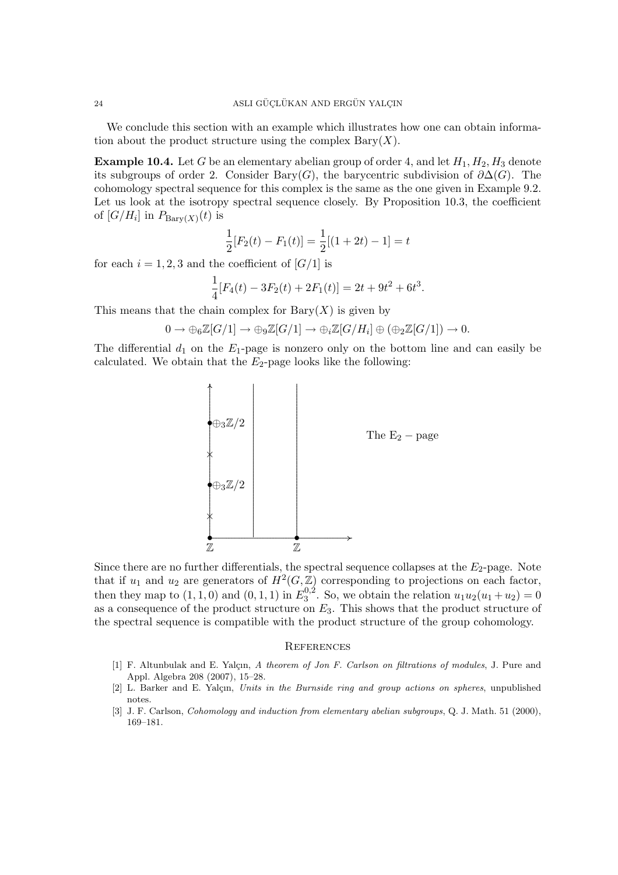We conclude this section with an example which illustrates how one can obtain information about the product structure using the complex  $\text{Bary}(X)$ .

**Example 10.4.** Let G be an elementary abelian group of order 4, and let  $H_1, H_2, H_3$  denote its subgroups of order 2. Consider Bary(G), the barycentric subdivision of  $\partial \Delta(G)$ . The cohomology spectral sequence for this complex is the same as the one given in Example 9.2. Let us look at the isotropy spectral sequence closely. By Proposition 10.3, the coefficient of  $[G/H_i]$  in  $P_{\text{Bary}(X)}(t)$  is

$$
\frac{1}{2}[F_2(t) - F_1(t)] = \frac{1}{2}[(1+2t) - 1] = t
$$

for each  $i = 1, 2, 3$  and the coefficient of  $|G/1|$  is

$$
\frac{1}{4}[F_4(t) - 3F_2(t) + 2F_1(t)] = 2t + 9t^2 + 6t^3.
$$

This means that the chain complex for  $Bary(X)$  is given by

$$
0 \to \bigoplus_6 \mathbb{Z}[G/1] \to \bigoplus_9 \mathbb{Z}[G/1] \to \bigoplus_i \mathbb{Z}[G/H_i] \oplus (\bigoplus_2 \mathbb{Z}[G/1]) \to 0.
$$

The differential  $d_1$  on the  $E_1$ -page is nonzero only on the bottom line and can easily be calculated. We obtain that the  $E_2$ -page looks like the following:



Since there are no further differentials, the spectral sequence collapses at the  $E_2$ -page. Note that if  $u_1$  and  $u_2$  are generators of  $H^2(G,\mathbb{Z})$  corresponding to projections on each factor, then they map to  $(1, 1, 0)$  and  $(0, 1, 1)$  in  $E_3^{0,2}$  $u_3^{0,2}$ . So, we obtain the relation  $u_1u_2(u_1+u_2)=0$ as a consequence of the product structure on  $E_3$ . This shows that the product structure of the spectral sequence is compatible with the product structure of the group cohomology.

#### **REFERENCES**

- [1] F. Altunbulak and E. Yalçın, A theorem of Jon F. Carlson on filtrations of modules, J. Pure and Appl. Algebra 208 (2007), 15–28.
- [2] L. Barker and E. Yalçın, Units in the Burnside ring and group actions on spheres, unpublished notes.
- [3] J. F. Carlson, *Cohomology and induction from elementary abelian subgroups*, Q. J. Math. 51 (2000), 169–181.